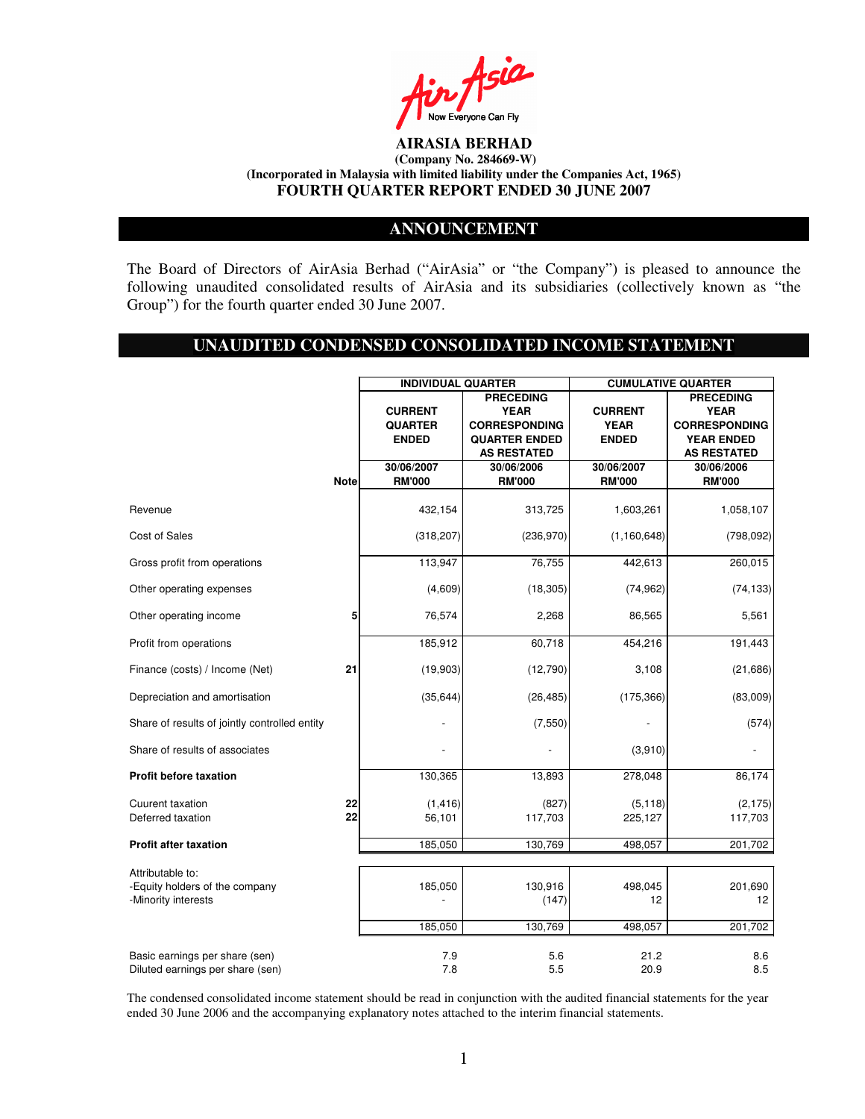

### **ANNOUNCEMENT**

The Board of Directors of AirAsia Berhad ("AirAsia" or "the Company") is pleased to announce the following unaudited consolidated results of AirAsia and its subsidiaries (collectively known as "the Group") for the fourth quarter ended 30 June 2007.

# **UNAUDITED CONDENSED CONSOLIDATED INCOME STATEMENT**

|                                                                           |             | <b>INDIVIDUAL QUARTER</b>                        |                                                                                                       |                                               | <b>CUMULATIVE QUARTER</b>                                                                          |
|---------------------------------------------------------------------------|-------------|--------------------------------------------------|-------------------------------------------------------------------------------------------------------|-----------------------------------------------|----------------------------------------------------------------------------------------------------|
|                                                                           |             | <b>CURRENT</b><br><b>QUARTER</b><br><b>ENDED</b> | <b>PRECEDING</b><br><b>YEAR</b><br><b>CORRESPONDING</b><br><b>QUARTER ENDED</b><br><b>AS RESTATED</b> | <b>CURRENT</b><br><b>YEAR</b><br><b>ENDED</b> | <b>PRECEDING</b><br><b>YEAR</b><br><b>CORRESPONDING</b><br><b>YEAR ENDED</b><br><b>AS RESTATED</b> |
|                                                                           |             | 30/06/2007                                       | 30/06/2006                                                                                            | 30/06/2007                                    | 30/06/2006                                                                                         |
|                                                                           | <b>Note</b> | <b>RM'000</b>                                    | <b>RM'000</b>                                                                                         | <b>RM'000</b>                                 | <b>RM'000</b>                                                                                      |
| Revenue                                                                   |             | 432,154                                          | 313,725                                                                                               | 1,603,261                                     | 1,058,107                                                                                          |
| Cost of Sales                                                             |             | (318, 207)                                       | (236,970)                                                                                             | (1, 160, 648)                                 | (798, 092)                                                                                         |
| Gross profit from operations                                              |             | 113,947                                          | 76,755                                                                                                | 442,613                                       | 260,015                                                                                            |
| Other operating expenses                                                  |             | (4,609)                                          | (18, 305)                                                                                             | (74, 962)                                     | (74, 133)                                                                                          |
| Other operating income                                                    | 5           | 76,574                                           | 2,268                                                                                                 | 86,565                                        | 5,561                                                                                              |
| Profit from operations                                                    |             | 185,912                                          | 60,718                                                                                                | 454,216                                       | 191,443                                                                                            |
| Finance (costs) / Income (Net)                                            | 21          | (19,903)                                         | (12,790)                                                                                              | 3,108                                         | (21, 686)                                                                                          |
| Depreciation and amortisation                                             |             | (35, 644)                                        | (26, 485)                                                                                             | (175, 366)                                    | (83,009)                                                                                           |
| Share of results of jointly controlled entity                             |             |                                                  | (7,550)                                                                                               |                                               | (574)                                                                                              |
| Share of results of associates                                            |             |                                                  |                                                                                                       | (3,910)                                       |                                                                                                    |
| <b>Profit before taxation</b>                                             |             | 130,365                                          | 13,893                                                                                                | 278,048                                       | 86,174                                                                                             |
| <b>Cuurent taxation</b><br>Deferred taxation                              | 22<br>22    | (1, 416)<br>56,101                               | (827)<br>117,703                                                                                      | (5, 118)<br>225,127                           | (2, 175)<br>117,703                                                                                |
| <b>Profit after taxation</b>                                              |             | 185,050                                          | 130,769                                                                                               | 498,057                                       | 201,702                                                                                            |
|                                                                           |             |                                                  |                                                                                                       |                                               |                                                                                                    |
| Attributable to:<br>-Equity holders of the company<br>-Minority interests |             | 185,050                                          | 130,916<br>(147)                                                                                      | 498,045<br>12                                 | 201,690<br>12                                                                                      |
|                                                                           |             | 185,050                                          | 130,769                                                                                               | 498,057                                       | 201,702                                                                                            |
| Basic earnings per share (sen)<br>Diluted earnings per share (sen)        |             | 7.9<br>7.8                                       | 5.6<br>5.5                                                                                            | 21.2<br>20.9                                  | 8.6<br>8.5                                                                                         |

The condensed consolidated income statement should be read in conjunction with the audited financial statements for the year ended 30 June 2006 and the accompanying explanatory notes attached to the interim financial statements.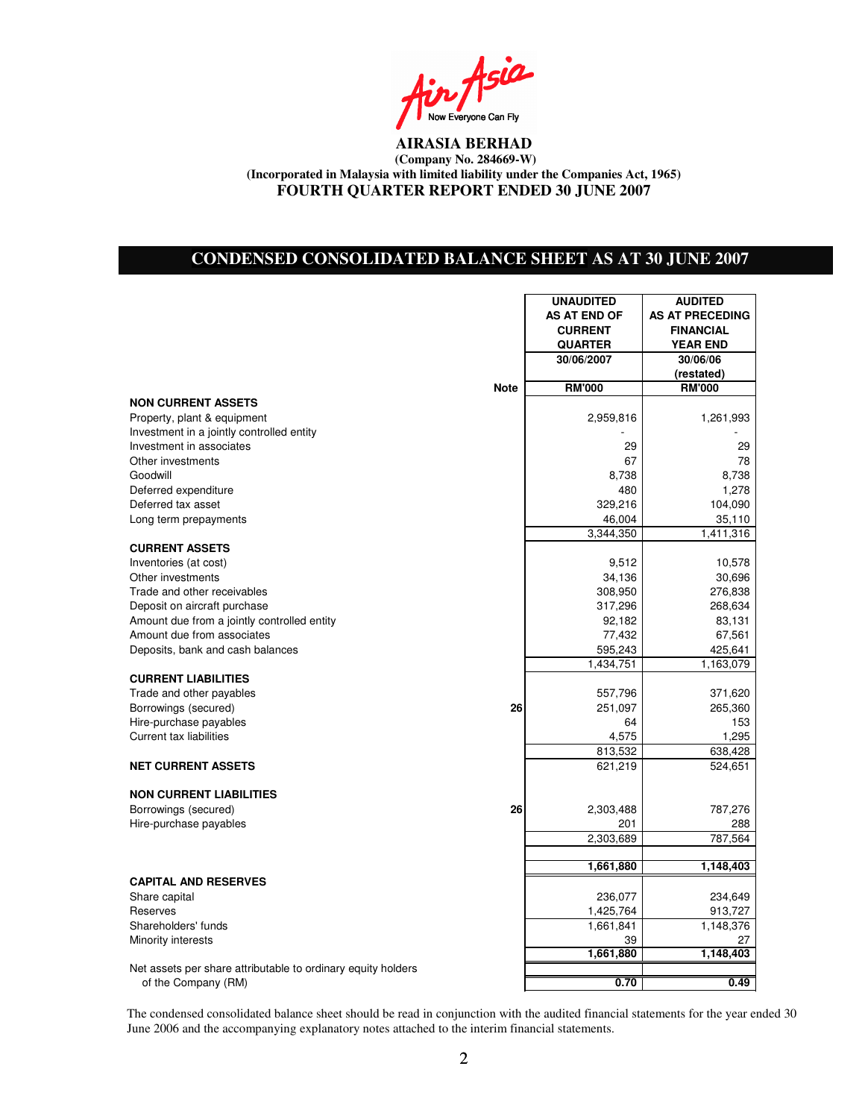Asia Now Everyone Can Fly

# **CONDENSED CONSOLIDATED BALANCE SHEET AS AT 30 JUNE 2007**

|                                                                                        |             | <b>UNAUDITED</b> | <b>AUDITED</b>         |
|----------------------------------------------------------------------------------------|-------------|------------------|------------------------|
|                                                                                        |             | AS AT END OF     | <b>AS AT PRECEDING</b> |
|                                                                                        |             | <b>CURRENT</b>   | <b>FINANCIAL</b>       |
|                                                                                        |             | <b>QUARTER</b>   | <b>YEAR END</b>        |
|                                                                                        |             | 30/06/2007       | 30/06/06               |
|                                                                                        |             |                  | (restated)             |
|                                                                                        | <b>Note</b> | <b>RM'000</b>    | <b>RM'000</b>          |
| <b>NON CURRENT ASSETS</b>                                                              |             |                  |                        |
| Property, plant & equipment                                                            |             | 2,959,816        | 1,261,993              |
| Investment in a jointly controlled entity                                              |             |                  |                        |
| Investment in associates                                                               |             | 29               | 29                     |
| Other investments                                                                      |             | 67               | 78                     |
| Goodwill                                                                               |             | 8,738            | 8,738                  |
| Deferred expenditure                                                                   |             | 480              | 1,278                  |
| Deferred tax asset                                                                     |             | 329,216          | 104,090                |
| Long term prepayments                                                                  |             | 46,004           | 35,110                 |
|                                                                                        |             | 3,344,350        | 1,411,316              |
| <b>CURRENT ASSETS</b>                                                                  |             |                  |                        |
| Inventories (at cost)                                                                  |             | 9,512            | 10,578                 |
| Other investments                                                                      |             | 34,136           | 30,696                 |
| Trade and other receivables                                                            |             | 308,950          | 276,838                |
| Deposit on aircraft purchase                                                           |             | 317,296          | 268,634                |
| Amount due from a jointly controlled entity                                            |             | 92,182           | 83,131                 |
| Amount due from associates                                                             |             | 77,432           | 67,561                 |
| Deposits, bank and cash balances                                                       |             | 595,243          | 425,641                |
|                                                                                        |             | 1,434,751        | 1,163,079              |
| <b>CURRENT LIABILITIES</b>                                                             |             |                  |                        |
| Trade and other payables                                                               |             | 557,796          | 371,620                |
| Borrowings (secured)                                                                   | 26          | 251,097          | 265,360                |
| Hire-purchase payables                                                                 |             | 64               | 153                    |
| <b>Current tax liabilities</b>                                                         |             | 4,575            | 1,295                  |
|                                                                                        |             | 813,532          | 638,428                |
| <b>NET CURRENT ASSETS</b>                                                              |             | 621,219          | 524,651                |
|                                                                                        |             |                  |                        |
| <b>NON CURRENT LIABILITIES</b>                                                         |             |                  |                        |
| Borrowings (secured)                                                                   | 26          | 2,303,488        | 787,276                |
| Hire-purchase payables                                                                 |             | 201              | 288                    |
|                                                                                        |             | 2,303,689        | 787,564                |
|                                                                                        |             |                  |                        |
|                                                                                        |             | 1,661,880        | 1,148,403              |
| <b>CAPITAL AND RESERVES</b>                                                            |             |                  |                        |
| Share capital                                                                          |             | 236,077          | 234,649                |
| Reserves                                                                               |             | 1,425,764        | 913,727                |
| Shareholders' funds                                                                    |             | 1,661,841        | 1,148,376              |
| Minority interests                                                                     |             | 39               | 27                     |
|                                                                                        |             | 1,661,880        | 1,148,403              |
| Net assets per share attributable to ordinary equity holders<br>$a^f$ the Compony (DM) |             | n 70             | 0. VV                  |

of the Company (RM) **0.70 0.49**

The condensed consolidated balance sheet should be read in conjunction with the audited financial statements for the year ended 30 June 2006 and the accompanying explanatory notes attached to the interim financial statements.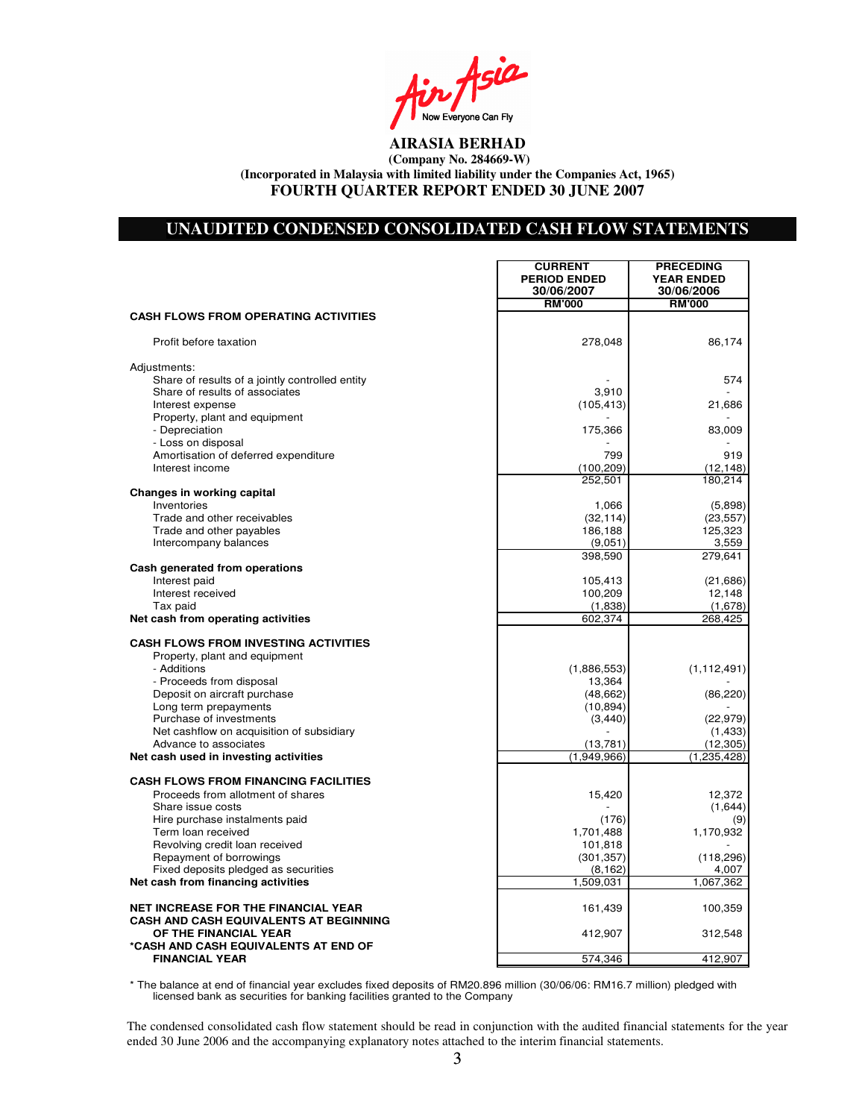Asia Now Everyone Can Fly

### **UNAUDITED CONDENSED CONSOLIDATED CASH FLOW STATEMENTS**

|                                                  | <b>CURRENT</b><br><b>PERIOD ENDED</b><br>30/06/2007 | <b>PRECEDING</b><br><b>YEAR ENDED</b><br>30/06/2006 |
|--------------------------------------------------|-----------------------------------------------------|-----------------------------------------------------|
|                                                  | <b>RM'000</b>                                       | <b>RM'000</b>                                       |
| <b>CASH FLOWS FROM OPERATING ACTIVITIES</b>      |                                                     |                                                     |
| Profit before taxation                           | 278,048                                             | 86.174                                              |
| Adjustments:                                     |                                                     |                                                     |
| Share of results of a jointly controlled entity  |                                                     | 574                                                 |
| Share of results of associates                   | 3,910                                               |                                                     |
| Interest expense                                 | (105, 413)                                          | 21,686                                              |
| Property, plant and equipment                    |                                                     |                                                     |
| - Depreciation                                   | 175,366                                             | 83,009                                              |
| - Loss on disposal                               |                                                     |                                                     |
| Amortisation of deferred expenditure             | 799                                                 | 919                                                 |
| Interest income                                  | (100, 209)                                          | (12, 148)                                           |
|                                                  | 252,501                                             | 180,214                                             |
| Changes in working capital                       |                                                     |                                                     |
| Inventories<br>Trade and other receivables       | 1,066                                               | (5,898)                                             |
| Trade and other payables                         | (32, 114)<br>186,188                                | (23, 557)<br>125,323                                |
| Intercompany balances                            | (9,051)                                             | 3,559                                               |
|                                                  | 398,590                                             | 279,641                                             |
| Cash generated from operations                   |                                                     |                                                     |
| Interest paid                                    | 105,413                                             | (21, 686)                                           |
| Interest received                                | 100,209                                             | 12,148                                              |
| Tax paid                                         | (1,838)                                             | (1,678)                                             |
| Net cash from operating activities               | 602,374                                             | 268,425                                             |
|                                                  |                                                     |                                                     |
| <b>CASH FLOWS FROM INVESTING ACTIVITIES</b>      |                                                     |                                                     |
| Property, plant and equipment                    |                                                     |                                                     |
| - Additions                                      | (1,886,553)                                         | (1, 112, 491)                                       |
| - Proceeds from disposal                         | 13,364                                              |                                                     |
| Deposit on aircraft purchase                     | (48, 662)<br>(10, 894)                              | (86, 220)                                           |
| Long term prepayments<br>Purchase of investments | (3, 440)                                            | (22, 979)                                           |
| Net cashflow on acquisition of subsidiary        |                                                     | (1, 433)                                            |
| Advance to associates                            | (13, 781)                                           | (12, 305)                                           |
| Net cash used in investing activities            | (1,949,966)                                         | (1, 235, 428)                                       |
|                                                  |                                                     |                                                     |
| <b>CASH FLOWS FROM FINANCING FACILITIES</b>      |                                                     |                                                     |
| Proceeds from allotment of shares                | 15,420                                              | 12,372                                              |
| Share issue costs                                |                                                     | (1,644)                                             |
| Hire purchase instalments paid                   | (176)                                               | (9)                                                 |
| Term loan received                               | 1,701,488                                           | 1,170,932                                           |
| Revolving credit loan received                   | 101,818                                             |                                                     |
| Repayment of borrowings                          | (301, 357)                                          | (118, 296)                                          |
| Fixed deposits pledged as securities             | (8, 162)                                            | 4,007                                               |
| Net cash from financing activities               | 1,509,031                                           | 1,067,362                                           |
| <b>NET INCREASE FOR THE FINANCIAL YEAR</b>       | 161,439                                             | 100,359                                             |
| CASH AND CASH EQUIVALENTS AT BEGINNING           |                                                     |                                                     |
| OF THE FINANCIAL YEAR                            | 412,907                                             | 312,548                                             |
| *CASH AND CASH EQUIVALENTS AT END OF             |                                                     |                                                     |
| <b>FINANCIAL YEAR</b>                            | 574,346                                             | 412,907                                             |

\* The balance at end of financial year excludes fixed deposits of RM20.896 million (30/06/06: RM16.7 million) pledged with licensed bank as securities for banking facilities granted to the Company

The condensed consolidated cash flow statement should be read in conjunction with the audited financial statements for the year ended 30 June 2006 and the accompanying explanatory notes attached to the interim financial statements.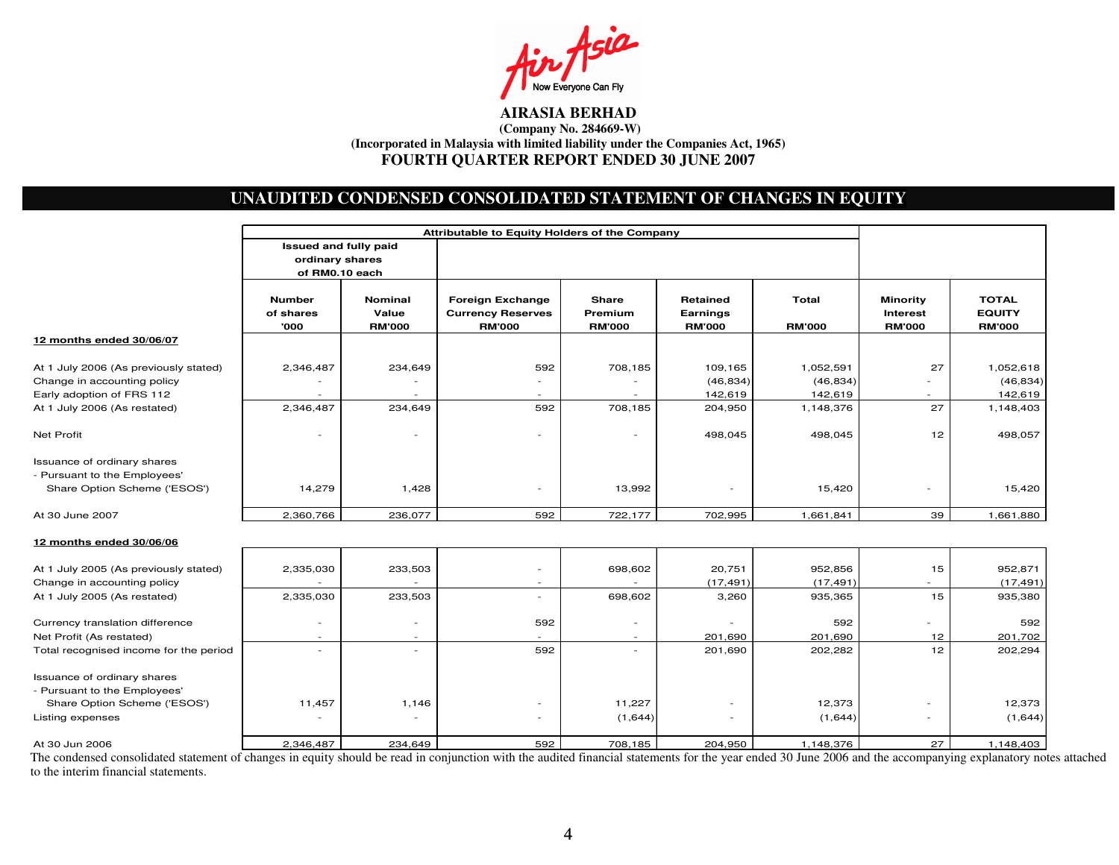

# **UNAUDITED CONDENSED CONSOLIDATED STATEMENT OF CHANGES IN EQUITY**

|                                                              | Attributable to Equity Holders of the Company |                                          |                                                                      |                                   |                                       |                        |                                                     |                                                |
|--------------------------------------------------------------|-----------------------------------------------|------------------------------------------|----------------------------------------------------------------------|-----------------------------------|---------------------------------------|------------------------|-----------------------------------------------------|------------------------------------------------|
|                                                              | Issued and fully paid                         |                                          |                                                                      |                                   |                                       |                        |                                                     |                                                |
|                                                              | ordinary shares                               |                                          |                                                                      |                                   |                                       |                        |                                                     |                                                |
|                                                              | of RM0.10 each                                |                                          |                                                                      |                                   |                                       |                        |                                                     |                                                |
|                                                              | <b>Number</b><br>of shares<br>'000            | <b>Nominal</b><br>Value<br><b>RM'000</b> | <b>Foreign Exchange</b><br><b>Currency Reserves</b><br><b>RM'000</b> | Share<br>Premium<br><b>RM'000</b> | Retained<br>Earnings<br><b>RM'000</b> | Total<br><b>RM'000</b> | <b>Minority</b><br><b>Interest</b><br><b>RM'000</b> | <b>TOTAL</b><br><b>EQUITY</b><br><b>RM'000</b> |
| 12 months ended 30/06/07                                     |                                               |                                          |                                                                      |                                   |                                       |                        |                                                     |                                                |
| At 1 July 2006 (As previously stated)                        | 2,346,487                                     | 234,649                                  | 592                                                                  | 708,185                           | 109,165                               | 1,052,591              | 27                                                  | 1,052,618                                      |
| Change in accounting policy                                  |                                               |                                          | $\sim$                                                               | $\overline{\phantom{m}}$          | (46, 834)                             | (46, 834)              |                                                     | (46, 834)                                      |
| Early adoption of FRS 112                                    |                                               |                                          |                                                                      |                                   | 142,619                               | 142,619                |                                                     | 142,619                                        |
| At 1 July 2006 (As restated)                                 | 2,346,487                                     | 234,649                                  | 592                                                                  | 708,185                           | 204,950                               | 1,148,376              | 27                                                  | 1,148,403                                      |
| Net Profit                                                   |                                               |                                          |                                                                      | $\overline{a}$                    | 498,045                               | 498,045                | 12                                                  | 498,057                                        |
| Issuance of ordinary shares                                  |                                               |                                          |                                                                      |                                   |                                       |                        |                                                     |                                                |
| - Pursuant to the Employees'                                 |                                               |                                          |                                                                      |                                   |                                       |                        |                                                     |                                                |
| Share Option Scheme ('ESOS')                                 | 14,279                                        | 1,428                                    | $\sim$                                                               | 13,992                            |                                       | 15,420                 | ٠                                                   | 15,420                                         |
| At 30 June 2007                                              | 2,360,766                                     | 236,077                                  | 592                                                                  | 722,177                           | 702,995                               | 1,661,841              | 39                                                  | 1,661,880                                      |
| 12 months ended 30/06/06                                     |                                               |                                          |                                                                      |                                   |                                       |                        |                                                     |                                                |
| At 1 July 2005 (As previously stated)                        | 2,335,030                                     | 233,503                                  | $\blacksquare$                                                       | 698,602                           | 20,751                                | 952,856                | 15                                                  | 952,871                                        |
| Change in accounting policy                                  |                                               |                                          |                                                                      |                                   | (17, 491)                             | (17, 491)              |                                                     | (17, 491)                                      |
| At 1 July 2005 (As restated)                                 | 2,335,030                                     | 233,503                                  | $\blacksquare$                                                       | 698,602                           | 3,260                                 | 935,365                | 15                                                  | 935,380                                        |
| Currency translation difference                              |                                               | $\sim$                                   | 592                                                                  | $\overline{\phantom{a}}$          |                                       | 592                    |                                                     | 592                                            |
| Net Profit (As restated)                                     |                                               | $\overline{\phantom{a}}$                 |                                                                      | $\overline{\phantom{a}}$          | 201,690                               | 201,690                | 12                                                  | 201,702                                        |
| Total recognised income for the period                       |                                               | $\sim$                                   | 592                                                                  | $\sim$                            | 201,690                               | 202,282                | 12                                                  | 202,294                                        |
| Issuance of ordinary shares                                  |                                               |                                          |                                                                      |                                   |                                       |                        |                                                     |                                                |
| - Pursuant to the Employees'<br>Share Option Scheme ('ESOS') | 11,457                                        | 1,146                                    | $\blacksquare$                                                       | 11,227                            |                                       | 12,373                 |                                                     | 12,373                                         |
| Listing expenses                                             |                                               |                                          |                                                                      | (1,644)                           |                                       | (1,644)                |                                                     |                                                |
|                                                              |                                               |                                          | ۰                                                                    |                                   |                                       |                        |                                                     | (1,644)                                        |
| At 30 Jun 2006                                               | 2,346,487                                     | 234,649                                  | 592                                                                  | 708,185                           | 204,950                               | 1,148,376              | 27                                                  | 1,148,403                                      |

The condensed consolidated statement of changes in equity should be read in conjunction with the audited financial statements for the year ended 30 June 2006 and the accompanying explanatory notes attached to the interim financial statements.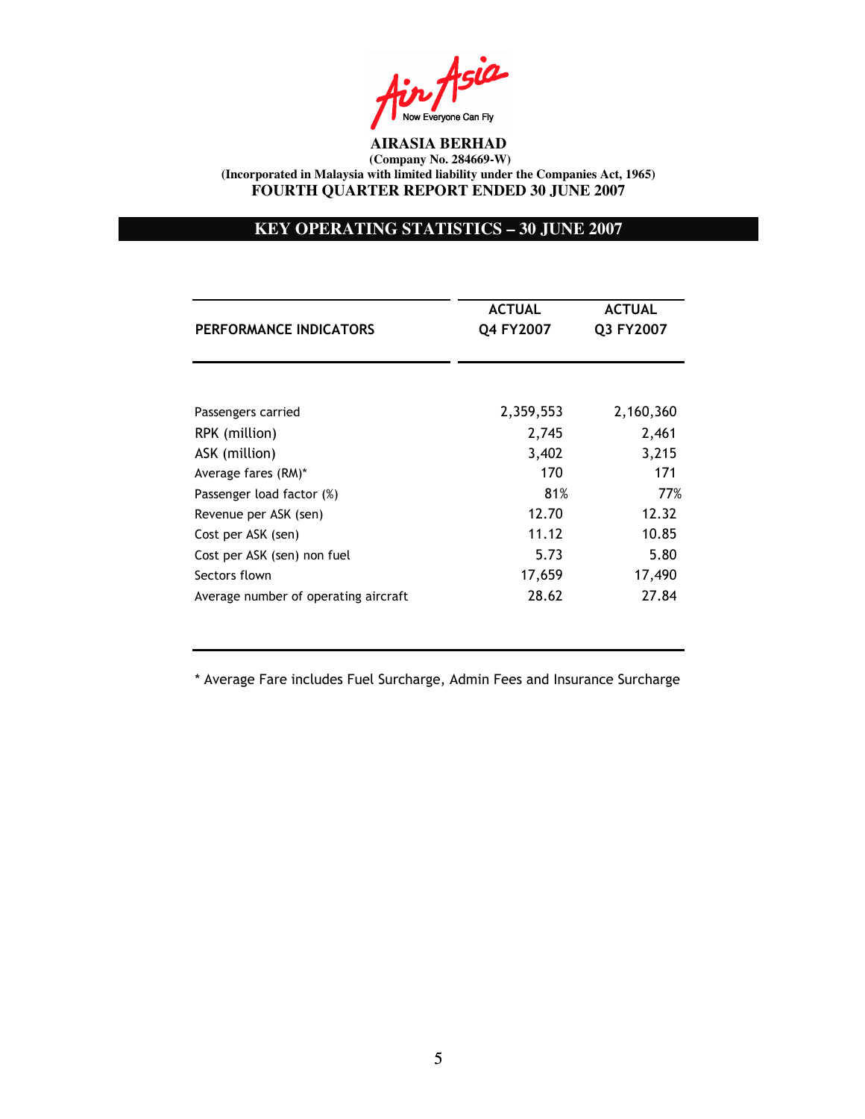in Asia Now Everyone Can Fly

# **KEY OPERATING STATISTICS – 30 JUNE 2007**

|                                      | <b>ACTUAL</b> | <b>ACTUAL</b> |  |
|--------------------------------------|---------------|---------------|--|
| PERFORMANCE INDICATORS               | Q4 FY2007     | Q3 FY2007     |  |
|                                      |               |               |  |
| Passengers carried                   | 2,359,553     | 2,160,360     |  |
| RPK (million)                        | 2,745         | 2,461         |  |
| ASK (million)                        | 3,402         | 3,215         |  |
| Average fares (RM)*                  | 170           | 171           |  |
| Passenger load factor (%)            | 81%           | 77%           |  |
| Revenue per ASK (sen)                | 12.70         | 12.32         |  |
| Cost per ASK (sen)                   | 11.12         | 10.85         |  |
| Cost per ASK (sen) non fuel          | 5.73          | 5.80          |  |
| Sectors flown                        | 17,659        | 17,490        |  |
| Average number of operating aircraft | 28.62         | 27.84         |  |

\* Average Fare includes Fuel Surcharge, Admin Fees and Insurance Surcharge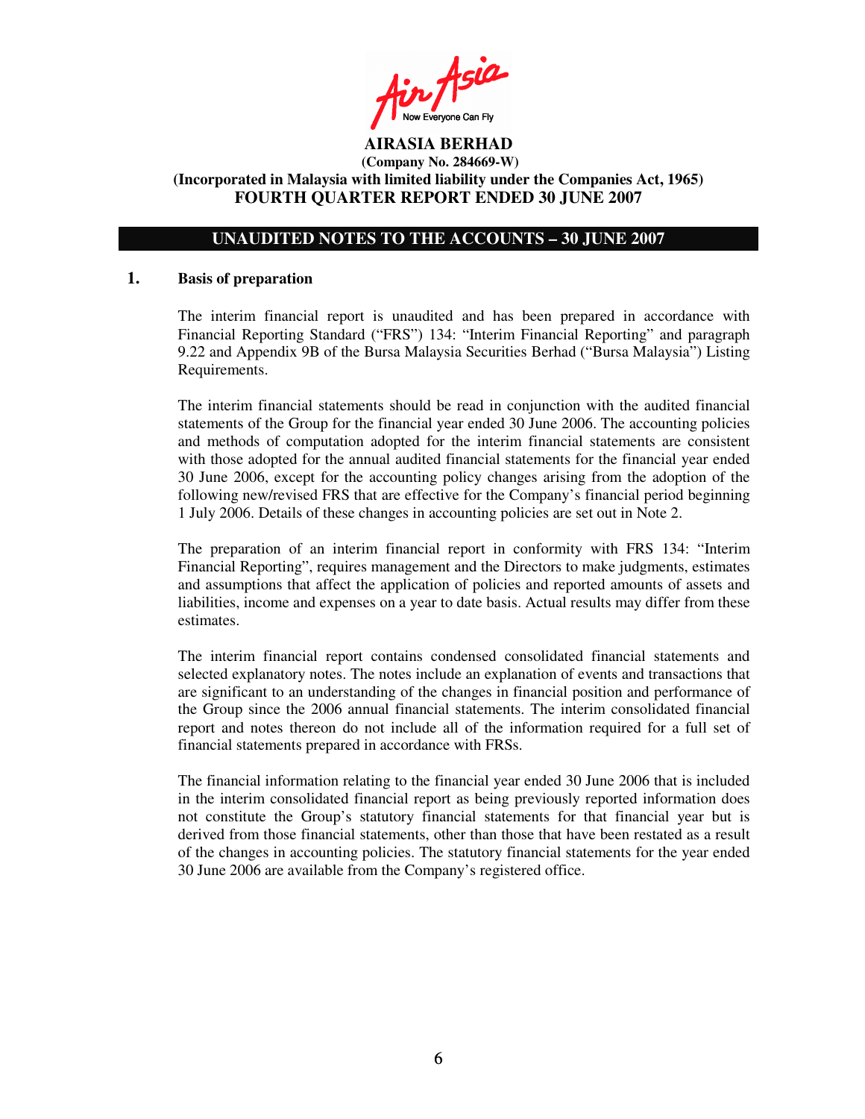Ain Asia

## **UNAUDITED NOTES TO THE ACCOUNTS – 30 JUNE 2007**

### **1. Basis of preparation**

The interim financial report is unaudited and has been prepared in accordance with Financial Reporting Standard ("FRS") 134: "Interim Financial Reporting" and paragraph 9.22 and Appendix 9B of the Bursa Malaysia Securities Berhad ("Bursa Malaysia") Listing Requirements.

The interim financial statements should be read in conjunction with the audited financial statements of the Group for the financial year ended 30 June 2006. The accounting policies and methods of computation adopted for the interim financial statements are consistent with those adopted for the annual audited financial statements for the financial year ended 30 June 2006, except for the accounting policy changes arising from the adoption of the following new/revised FRS that are effective for the Company's financial period beginning 1 July 2006. Details of these changes in accounting policies are set out in Note 2.

The preparation of an interim financial report in conformity with FRS 134: "Interim Financial Reporting", requires management and the Directors to make judgments, estimates and assumptions that affect the application of policies and reported amounts of assets and liabilities, income and expenses on a year to date basis. Actual results may differ from these estimates.

The interim financial report contains condensed consolidated financial statements and selected explanatory notes. The notes include an explanation of events and transactions that are significant to an understanding of the changes in financial position and performance of the Group since the 2006 annual financial statements. The interim consolidated financial report and notes thereon do not include all of the information required for a full set of financial statements prepared in accordance with FRSs.

The financial information relating to the financial year ended 30 June 2006 that is included in the interim consolidated financial report as being previously reported information does not constitute the Group's statutory financial statements for that financial year but is derived from those financial statements, other than those that have been restated as a result of the changes in accounting policies. The statutory financial statements for the year ended 30 June 2006 are available from the Company's registered office.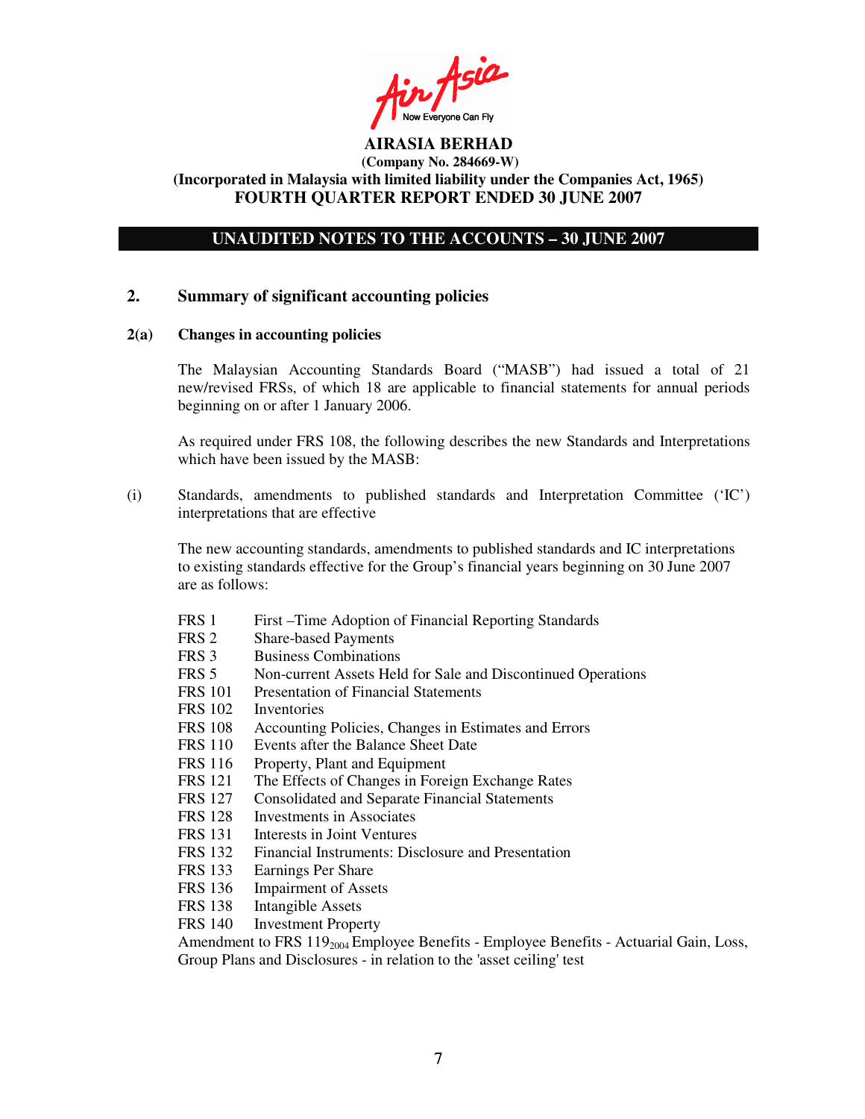Ain Asia

# **UNAUDITED NOTES TO THE ACCOUNTS – 30 JUNE 2007**

### **2. Summary of significant accounting policies**

#### **2(a) Changes in accounting policies**

The Malaysian Accounting Standards Board ("MASB") had issued a total of 21 new/revised FRSs, of which 18 are applicable to financial statements for annual periods beginning on or after 1 January 2006.

As required under FRS 108, the following describes the new Standards and Interpretations which have been issued by the MASB:

(i) Standards, amendments to published standards and Interpretation Committee ('IC') interpretations that are effective

The new accounting standards, amendments to published standards and IC interpretations to existing standards effective for the Group's financial years beginning on 30 June 2007 are as follows:

- FRS 1 First –Time Adoption of Financial Reporting Standards
- FRS 2 Share-based Payments
- FRS 3 Business Combinations
- FRS 5 Non-current Assets Held for Sale and Discontinued Operations
- FRS 101 Presentation of Financial Statements
- FRS 102 Inventories
- FRS 108 Accounting Policies, Changes in Estimates and Errors
- FRS 110 Events after the Balance Sheet Date
- FRS 116 Property, Plant and Equipment
- FRS 121 The Effects of Changes in Foreign Exchange Rates
- FRS 127 Consolidated and Separate Financial Statements
- FRS 128 Investments in Associates<br>FRS 131 Interests in Joint Ventures
- Interests in Joint Ventures
- FRS 132 Financial Instruments: Disclosure and Presentation
- FRS 133 Earnings Per Share
- FRS 136 Impairment of Assets
- FRS 138 Intangible Assets
- FRS 140 Investment Property

Amendment to FRS  $119_{2004}$  Employee Benefits - Employee Benefits - Actuarial Gain, Loss, Group Plans and Disclosures - in relation to the 'asset ceiling'test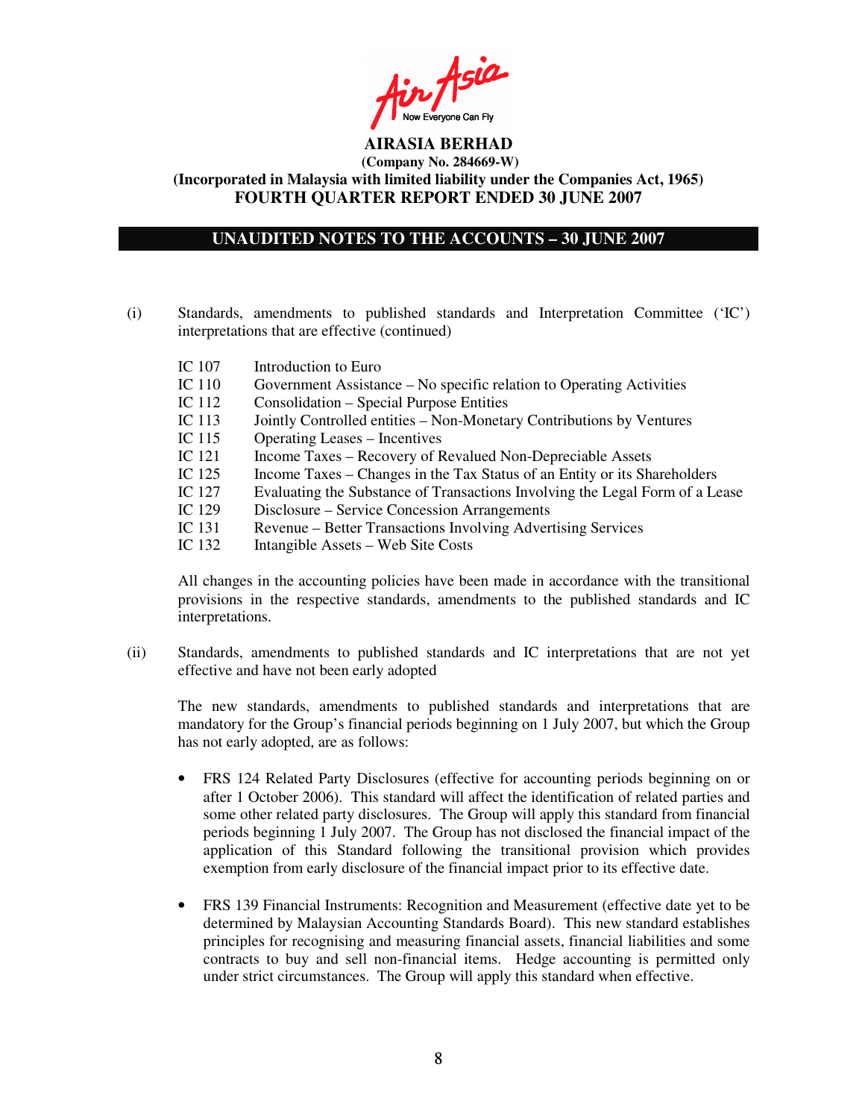Ain Asia

## **UNAUDITED NOTES TO THE ACCOUNTS – 30 JUNE 2007**

- (i) Standards, amendments to published standards and Interpretation Committee ('IC') interpretations that are effective (continued)
	- IC 107 Introduction to Euro
	- IC 110 Government Assistance No specific relation to Operating Activities
	- IC 112 Consolidation Special Purpose Entities
	- IC 113 Jointly Controlled entities Non-Monetary Contributions by Ventures<br>IC 115 Operating Leases Incentives
	- Operating Leases Incentives
	- IC 121 Income Taxes Recovery of Revalued Non-Depreciable Assets
	- IC 125 Income Taxes Changes in the Tax Status of an Entity or its Shareholders<br>IC 127 Evaluating the Substance of Transactions Involving the Legal Form of a Le
	- Evaluating the Substance of Transactions Involving the Legal Form of a Lease
	- IC 129 Disclosure Service Concession Arrangements
	- IC 131 Revenue Better Transactions Involving Advertising Services
	- IC 132 Intangible Assets Web Site Costs

All changes in the accounting policies have been made in accordance with the transitional provisions in the respective standards, amendments to the published standards and IC interpretations.

(ii) Standards, amendments to published standards and IC interpretations that are not yet effective and have not been early adopted

The new standards, amendments to published standards and interpretations that are mandatory for the Group's financial periods beginning on 1 July 2007, but which the Group has not early adopted, are as follows:

- FRS 124 Related Party Disclosures (effective for accounting periods beginning on or after 1 October 2006). This standard will affect the identification of related parties and some other related party disclosures. The Group will apply this standard from financial periods beginning 1 July 2007. The Group has not disclosed the financial impact of the application of this Standard following the transitional provision which provides exemption from early disclosure of the financial impact prior to its effective date.
- FRS 139 Financial Instruments: Recognition and Measurement (effective date yet to be determined by Malaysian Accounting Standards Board). This new standard establishes principles for recognising and measuring financial assets, financial liabilities and some contracts to buy and sell non-financial items. Hedge accounting is permitted only under strict circumstances. The Group will apply this standard when effective.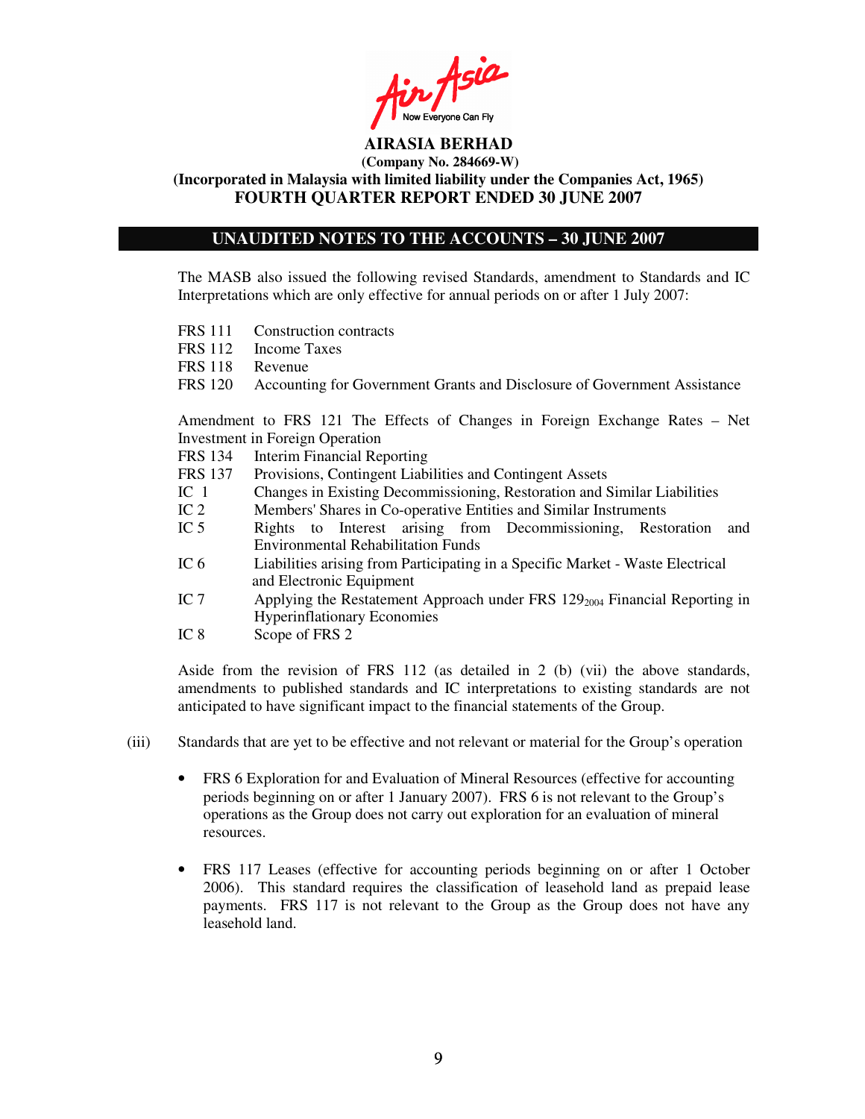Fin Asia

## **UNAUDITED NOTES TO THE ACCOUNTS – 30 JUNE 2007**

The MASB also issued the following revised Standards, amendment to Standards and IC Interpretations which are only effective for annual periods on or after 1 July 2007:

- FRS 111 Construction contracts
- FRS 112 Income Taxes
- FRS 118 Revenue
- FRS 120 Accounting for Government Grants and Disclosure of Government Assistance

Amendment to FRS 121 The Effects of Changes in Foreign Exchange Rates – Net Investment in Foreign Operation

- FRS 134 Interim Financial Reporting
- FRS 137 Provisions, Contingent Liabilities and Contingent Assets
- IC 1 Changes in Existing Decommissioning, Restoration and Similar Liabilities
- IC 2 Members'Shares in Co-operative Entities and Similar Instruments
- IC 5 Rights to Interest arising from Decommissioning, Restoration and Environmental Rehabilitation Funds
- IC 6 Liabilities arising from Participating in a Specific Market Waste Electrical and Electronic Equipment
- IC 7 Applying the Restatement Approach under FRS  $129<sub>2004</sub>$  Financial Reporting in Hyperinflationary Economies
- IC 8 Scope of FRS 2

Aside from the revision of FRS 112 (as detailed in 2 (b) (vii) the above standards, amendments to published standards and IC interpretations to existing standards are not anticipated to have significant impact to the financial statements of the Group.

- (iii) Standards that are yet to be effective and not relevant or material for the Group's operation
	- FRS 6 Exploration for and Evaluation of Mineral Resources (effective for accounting periods beginning on or after 1 January 2007). FRS 6 is not relevant to the Group's operations as the Group does not carry out exploration for an evaluation of mineral resources.
	- FRS 117 Leases (effective for accounting periods beginning on or after 1 October 2006). This standard requires the classification of leasehold land as prepaid lease payments. FRS 117 is not relevant to the Group as the Group does not have any leasehold land.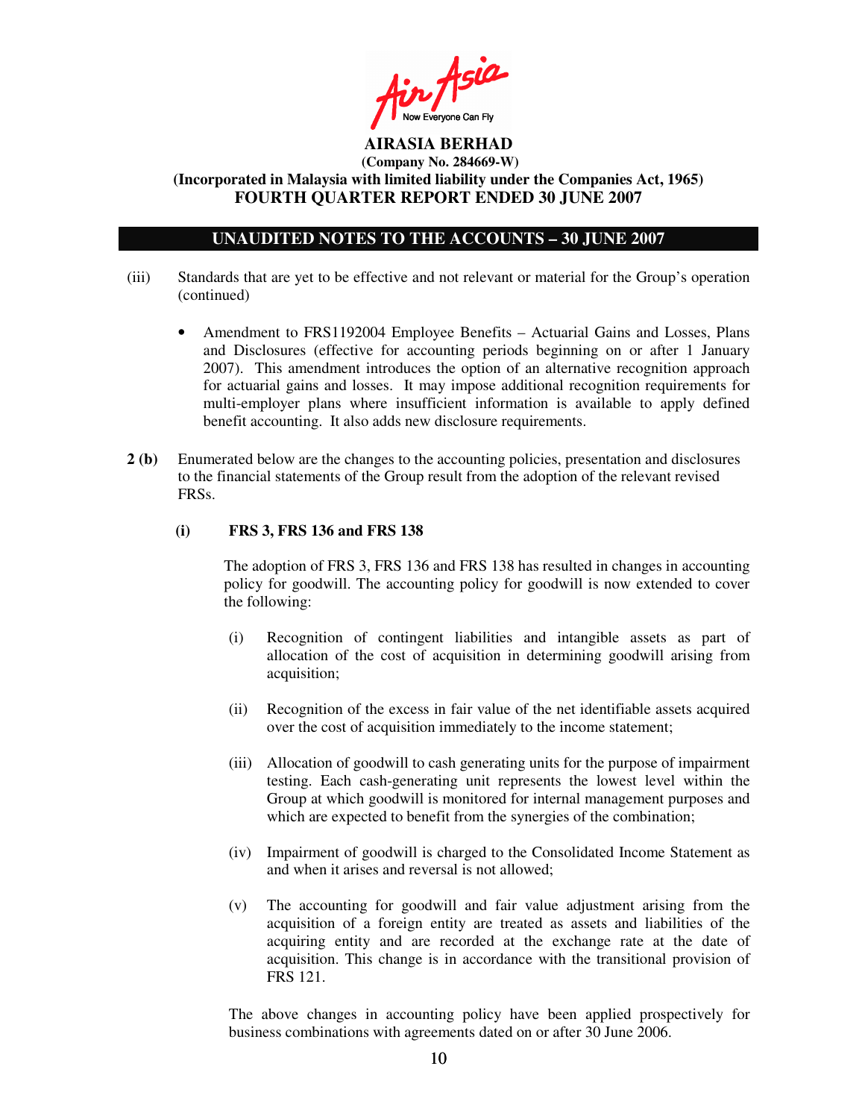Ain Asia

## **UNAUDITED NOTES TO THE ACCOUNTS – 30 JUNE 2007**

- (iii) Standards that are yet to be effective and not relevant or material for the Group's operation (continued)
	- Amendment to FRS1192004 Employee Benefits Actuarial Gains and Losses, Plans and Disclosures (effective for accounting periods beginning on or after 1 January 2007). This amendment introduces the option of an alternative recognition approach for actuarial gains and losses. It may impose additional recognition requirements for multi-employer plans where insufficient information is available to apply defined benefit accounting. It also adds new disclosure requirements.
- **2 (b)** Enumerated below are the changes to the accounting policies, presentation and disclosures to the financial statements of the Group result from the adoption of the relevant revised FRSs.

### **(i) FRS 3, FRS 136 and FRS 138**

The adoption of FRS 3, FRS 136 and FRS 138 has resulted in changes in accounting policy for goodwill. The accounting policy for goodwill is now extended to cover the following:

- (i) Recognition of contingent liabilities and intangible assets as part of allocation of the cost of acquisition in determining goodwill arising from acquisition;
- (ii) Recognition of the excess in fair value of the net identifiable assets acquired over the cost of acquisition immediately to the income statement;
- (iii) Allocation of goodwill to cash generating units for the purpose of impairment testing. Each cash-generating unit represents the lowest level within the Group at which goodwill is monitored for internal management purposes and which are expected to benefit from the synergies of the combination;
- (iv) Impairment of goodwill is charged to the Consolidated Income Statement as and when it arises and reversal is not allowed;
- (v) The accounting for goodwill and fair value adjustment arising from the acquisition of a foreign entity are treated as assets and liabilities of the acquiring entity and are recorded at the exchange rate at the date of acquisition. This change is in accordance with the transitional provision of FRS 121.

The above changes in accounting policy have been applied prospectively for business combinations with agreements dated on or after 30 June 2006.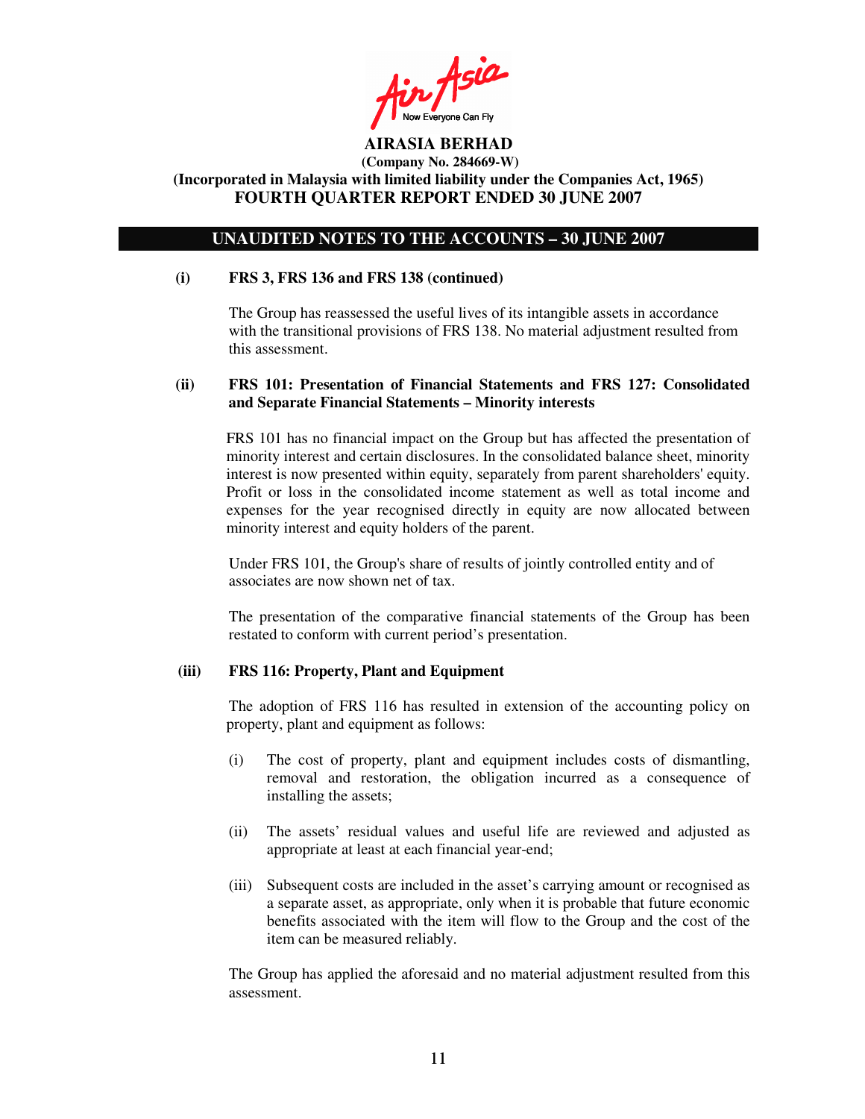Ain Asia

### **UNAUDITED NOTES TO THE ACCOUNTS – 30 JUNE 2007**

#### **(i) FRS 3, FRS 136 and FRS 138 (continued)**

The Group has reassessed the useful lives of its intangible assets in accordance with the transitional provisions of FRS 138. No material adjustment resulted from this assessment.

### **(ii) FRS 101: Presentation of Financial Statements and FRS 127: Consolidated and Separate Financial Statements – Minority interests**

FRS 101 has no financial impact on the Group but has affected the presentation of minority interest and certain disclosures. In the consolidated balance sheet, minority interest is now presented within equity, separately from parent shareholders'equity. Profit or loss in the consolidated income statement as well as total income and expenses for the year recognised directly in equity are now allocated between minority interest and equity holders of the parent.

Under FRS 101, the Group's share of results of jointly controlled entity and of associates are now shown net of tax.

The presentation of the comparative financial statements of the Group has been restated to conform with current period's presentation.

#### **(iii) FRS 116: Property, Plant and Equipment**

The adoption of FRS 116 has resulted in extension of the accounting policy on property, plant and equipment as follows:

- (i) The cost of property, plant and equipment includes costs of dismantling, removal and restoration, the obligation incurred as a consequence of installing the assets;
- (ii) The assets' residual values and useful life are reviewed and adjusted as appropriate at least at each financial year-end;
- (iii) Subsequent costs are included in the asset's carrying amount or recognised as a separate asset, as appropriate, only when it is probable that future economic benefits associated with the item will flow to the Group and the cost of the item can be measured reliably.

The Group has applied the aforesaid and no material adjustment resulted from this assessment.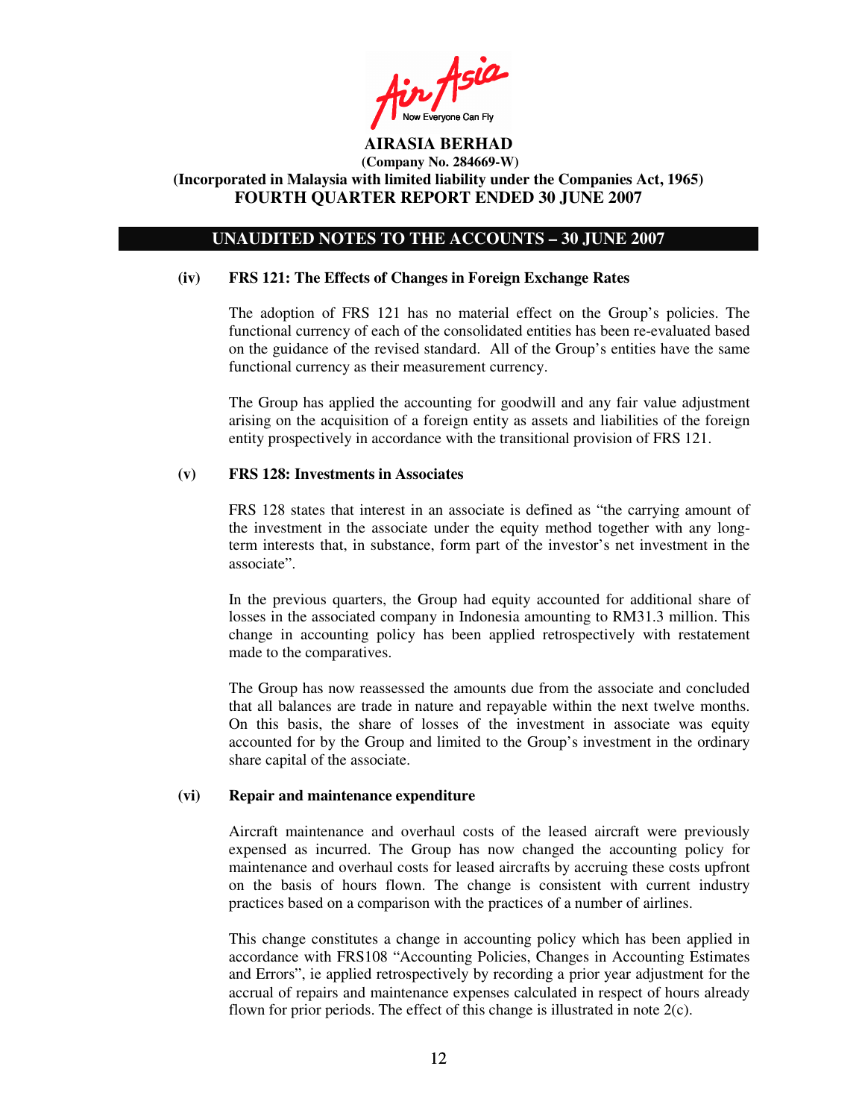Ain Asia

### **UNAUDITED NOTES TO THE ACCOUNTS – 30 JUNE 2007**

#### **(iv) FRS 121: The Effects of Changes in Foreign Exchange Rates**

The adoption of FRS 121 has no material effect on the Group's policies. The functional currency of each of the consolidated entities has been re-evaluated based on the guidance of the revised standard. All of the Group's entities have the same functional currency as their measurement currency.

The Group has applied the accounting for goodwill and any fair value adjustment arising on the acquisition of a foreign entity as assets and liabilities of the foreign entity prospectively in accordance with the transitional provision of FRS 121.

#### **(v) FRS 128: Investments in Associates**

FRS 128 states that interest in an associate is defined as "the carrying amount of the investment in the associate under the equity method together with any longterm interests that, in substance, form part of the investor's net investment in the associate".

In the previous quarters, the Group had equity accounted for additional share of losses in the associated company in Indonesia amounting to RM31.3 million. This change in accounting policy has been applied retrospectively with restatement made to the comparatives.

The Group has now reassessed the amounts due from the associate and concluded that all balances are trade in nature and repayable within the next twelve months. On this basis, the share of losses of the investment in associate was equity accounted for by the Group and limited to the Group's investment in the ordinary share capital of the associate.

#### **(vi) Repair and maintenance expenditure**

Aircraft maintenance and overhaul costs of the leased aircraft were previously expensed as incurred. The Group has now changed the accounting policy for maintenance and overhaul costs for leased aircrafts by accruing these costs upfront on the basis of hours flown. The change is consistent with current industry practices based on a comparison with the practices of a number of airlines.

This change constitutes a change in accounting policy which has been applied in accordance with FRS108 "Accounting Policies, Changes in Accounting Estimates and Errors", ie applied retrospectively by recording a prior year adjustment for the accrual of repairs and maintenance expenses calculated in respect of hours already flown for prior periods. The effect of this change is illustrated in note 2(c).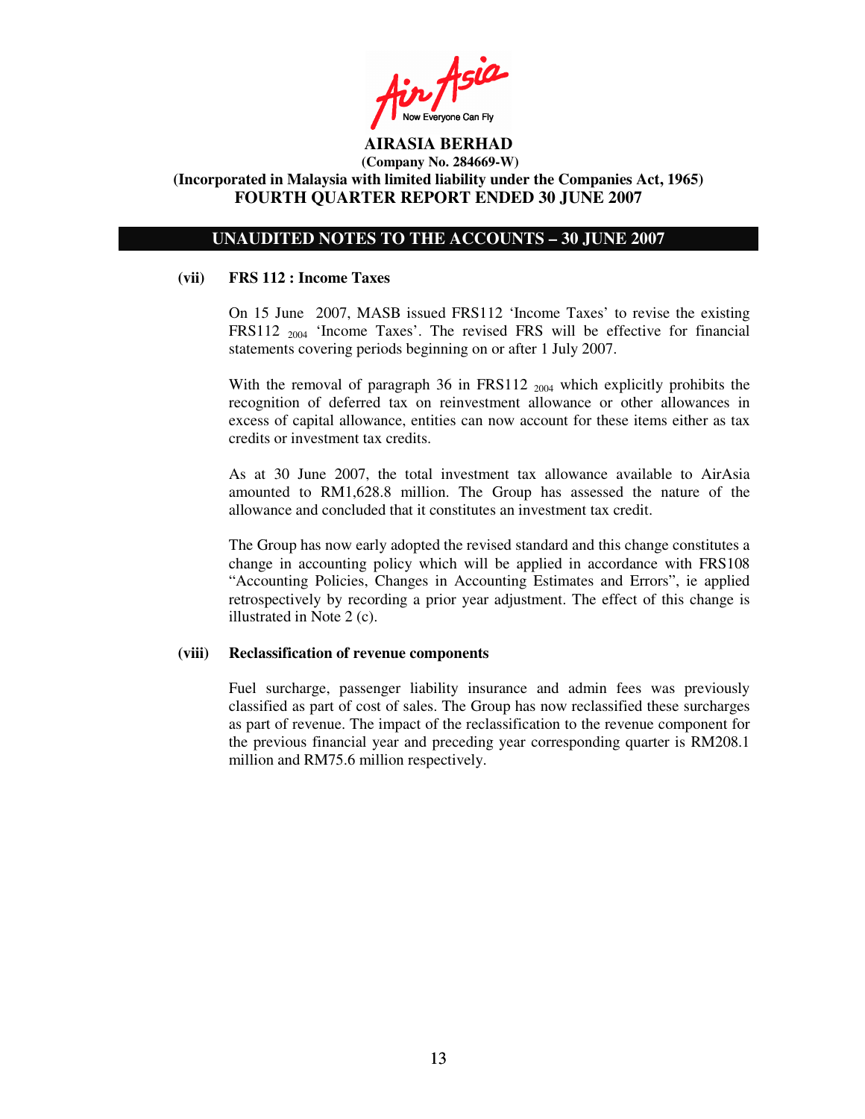$\mathcal{L}_{\mathcal{P}}$ 

### **UNAUDITED NOTES TO THE ACCOUNTS – 30 JUNE 2007**

#### **(vii) FRS 112 : Income Taxes**

On 15 June 2007, MASB issued FRS112 'Income Taxes' to revise the existing FRS112  $_{2004}$  'Income Taxes'. The revised FRS will be effective for financial statements covering periods beginning on or after 1 July 2007.

With the removal of paragraph 36 in FRS112 <sub>2004</sub> which explicitly prohibits the recognition of deferred tax on reinvestment allowance or other allowances in excess of capital allowance, entities can now account for these items either as tax credits or investment tax credits.

As at 30 June 2007, the total investment tax allowance available to AirAsia amounted to RM1,628.8 million. The Group has assessed the nature of the allowance and concluded that it constitutes an investment tax credit.

The Group has now early adopted the revised standard and this change constitutes a change in accounting policy which will be applied in accordance with FRS108 "Accounting Policies, Changes in Accounting Estimates and Errors", ie applied retrospectively by recording a prior year adjustment. The effect of this change is illustrated in Note 2 (c).

#### **(viii) Reclassification of revenue components**

Fuel surcharge, passenger liability insurance and admin fees was previously classified as part of cost of sales. The Group has now reclassified these surcharges as part of revenue. The impact of the reclassification to the revenue component for the previous financial year and preceding year corresponding quarter is RM208.1 million and RM75.6 million respectively.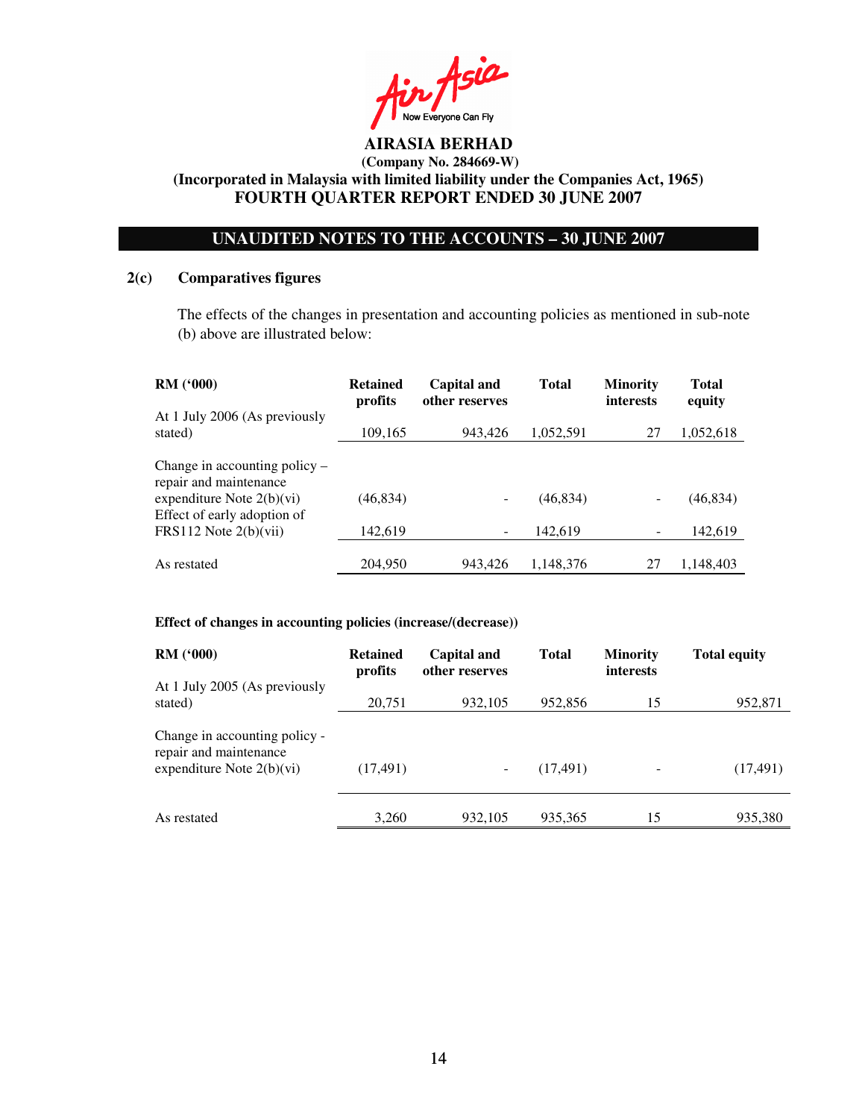$A$ sia Now Everyone Can Fly

# **UNAUDITED NOTES TO THE ACCOUNTS – 30 JUNE 2007**

### **2(c) Comparatives figures**

The effects of the changes in presentation and accounting policies as mentioned in sub-note (b) above are illustrated below:

| <b>RM</b> ( <i>'</i> 000)                                                                | <b>Retained</b><br>profits | Capital and<br>other reserves | Total     | <b>Minority</b><br><b>interests</b> | <b>Total</b><br>equity |
|------------------------------------------------------------------------------------------|----------------------------|-------------------------------|-----------|-------------------------------------|------------------------|
| At 1 July 2006 (As previously<br>stated)                                                 | 109,165                    | 943,426                       | 1,052,591 | 27                                  | 1,052,618              |
| Change in accounting policy $-$<br>repair and maintenance<br>expenditure Note $2(b)(vi)$ | (46, 834)                  |                               | (46, 834) |                                     | (46, 834)              |
| Effect of early adoption of<br>FRS112 Note $2(b)(vii)$                                   | 142,619                    |                               | 142.619   |                                     | 142,619                |
| As restated                                                                              | 204,950                    | 943,426                       | 1,148,376 | 27                                  | 1,148,403              |

### **Effect of changes in accounting policies (increase/(decrease))**

| RM(900)                                                                                | <b>Retained</b><br>profits | Capital and<br>other reserves | <b>Total</b> | <b>Minority</b><br><i>interests</i> | <b>Total equity</b> |
|----------------------------------------------------------------------------------------|----------------------------|-------------------------------|--------------|-------------------------------------|---------------------|
| At 1 July 2005 (As previously<br>stated)                                               | 20,751                     | 932,105                       | 952,856      | 15                                  | 952,871             |
| Change in accounting policy -<br>repair and maintenance<br>expenditure Note $2(b)(vi)$ | (17, 491)                  | $\overline{\phantom{a}}$      | (17, 491)    | $\overline{\phantom{a}}$            | (17, 491)           |
| As restated                                                                            | 3,260                      | 932,105                       | 935,365      | 15                                  | 935,380             |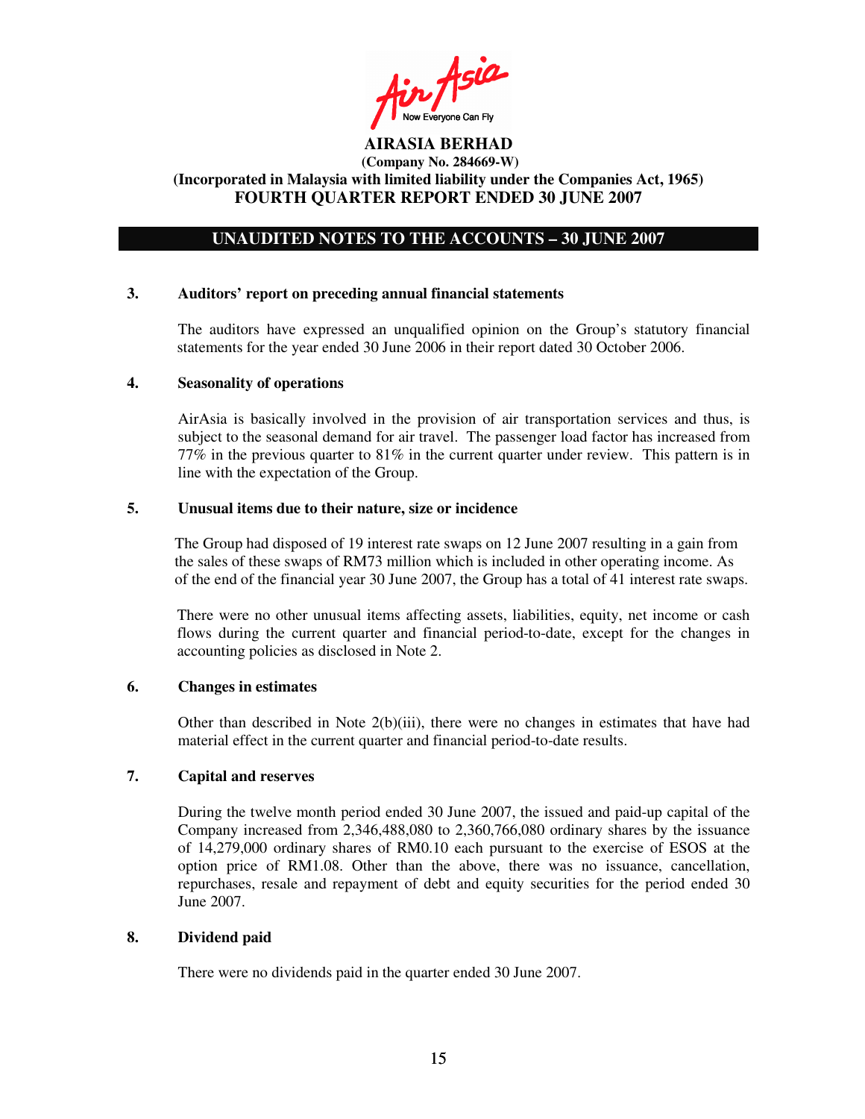Ain Asia

## **UNAUDITED NOTES TO THE ACCOUNTS – 30 JUNE 2007**

#### **3. Auditors' report on preceding annual financial statements**

The auditors have expressed an unqualified opinion on the Group's statutory financial statements for the year ended 30 June 2006 in their report dated 30 October 2006.

#### **4. Seasonality of operations**

AirAsia is basically involved in the provision of air transportation services and thus, is subject to the seasonal demand for air travel. The passenger load factor has increased from 77% in the previous quarter to 81% in the current quarter under review. This pattern is in line with the expectation of the Group.

### **5. Unusual items due to their nature, size or incidence**

The Group had disposed of 19 interest rate swaps on 12 June 2007 resulting in a gain from the sales of these swaps of RM73 million which is included in other operating income. As of the end of the financial year 30 June 2007, the Group has a total of 41 interest rate swaps.

There were no other unusual items affecting assets, liabilities, equity, net income or cash flows during the current quarter and financial period-to-date, except for the changes in accounting policies as disclosed in Note 2.

#### **6. Changes in estimates**

Other than described in Note  $2(b)(iii)$ , there were no changes in estimates that have had material effect in the current quarter and financial period-to-date results.

### **7. Capital and reserves**

During the twelve month period ended 30 June 2007, the issued and paid-up capital of the Company increased from 2,346,488,080 to 2,360,766,080 ordinary shares by the issuance of 14,279,000 ordinary shares of RM0.10 each pursuant to the exercise of ESOS at the option price of RM1.08. Other than the above, there was no issuance, cancellation, repurchases, resale and repayment of debt and equity securities for the period ended 30 June 2007.

#### **8. Dividend paid**

There were no dividends paid in the quarter ended 30 June 2007.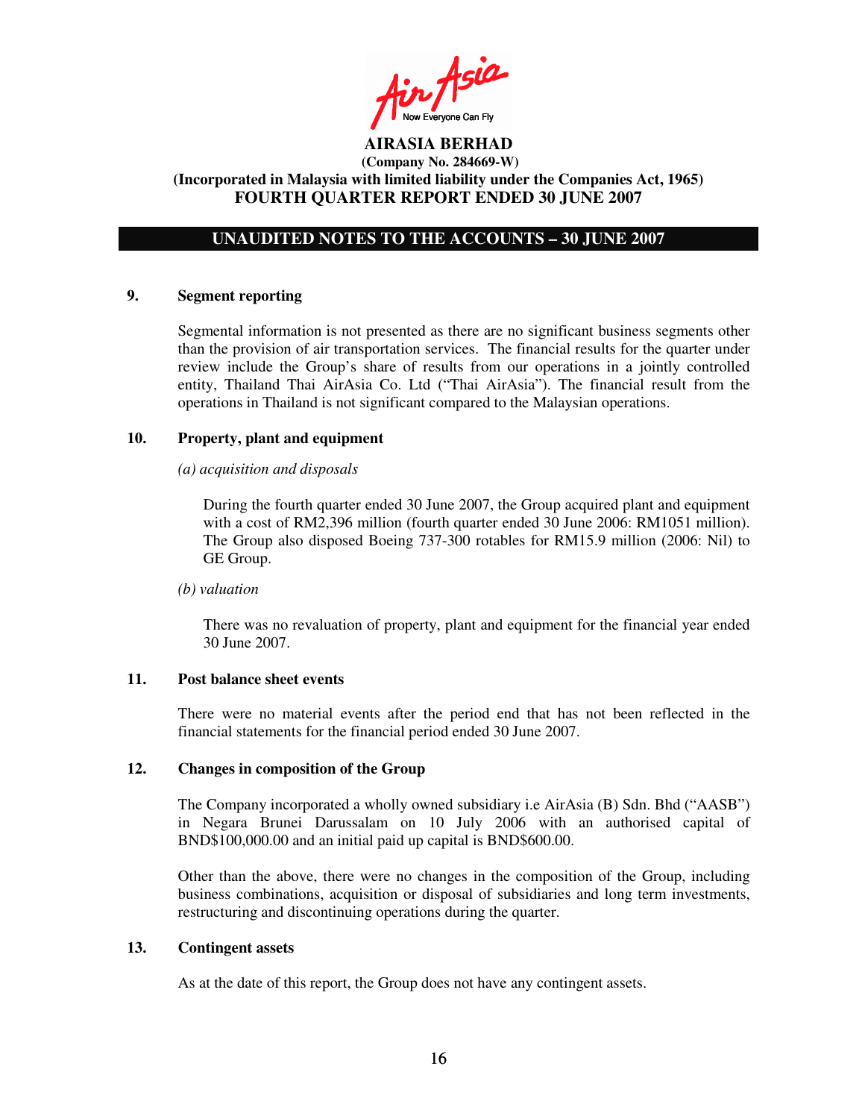Ain Asia

# **UNAUDITED NOTES TO THE ACCOUNTS – 30 JUNE 2007**

### **9. Segment reporting**

Segmental information is not presented as there are no significant business segments other than the provision of air transportation services. The financial results for the quarter under review include the Group's share of results from our operations in a jointly controlled entity, Thailand Thai AirAsia Co. Ltd ("Thai AirAsia"). The financial result from the operations in Thailand is not significant compared to the Malaysian operations.

### **10. Property, plant and equipment**

#### *(a) acquisition and disposals*

During the fourth quarter ended 30 June 2007, the Group acquired plant and equipment with a cost of RM2,396 million (fourth quarter ended 30 June 2006: RM1051 million). The Group also disposed Boeing 737-300 rotables for RM15.9 million (2006: Nil) to GE Group.

#### *(b) valuation*

There was no revaluation of property, plant and equipment for the financial year ended 30 June 2007.

#### **11. Post balance sheet events**

There were no material events after the period end that has not been reflected in the financial statements for the financial period ended 30 June 2007.

### **12. Changes in composition of the Group**

The Company incorporated a wholly owned subsidiary i.e AirAsia (B) Sdn. Bhd ("AASB") in Negara Brunei Darussalam on 10 July 2006 with an authorised capital of BND\$100,000.00 and an initial paid up capital is BND\$600.00.

Other than the above, there were no changes in the composition of the Group, including business combinations, acquisition or disposal of subsidiaries and long term investments, restructuring and discontinuing operations during the quarter.

### **13. Contingent assets**

As at the date of this report, the Group does not have any contingent assets.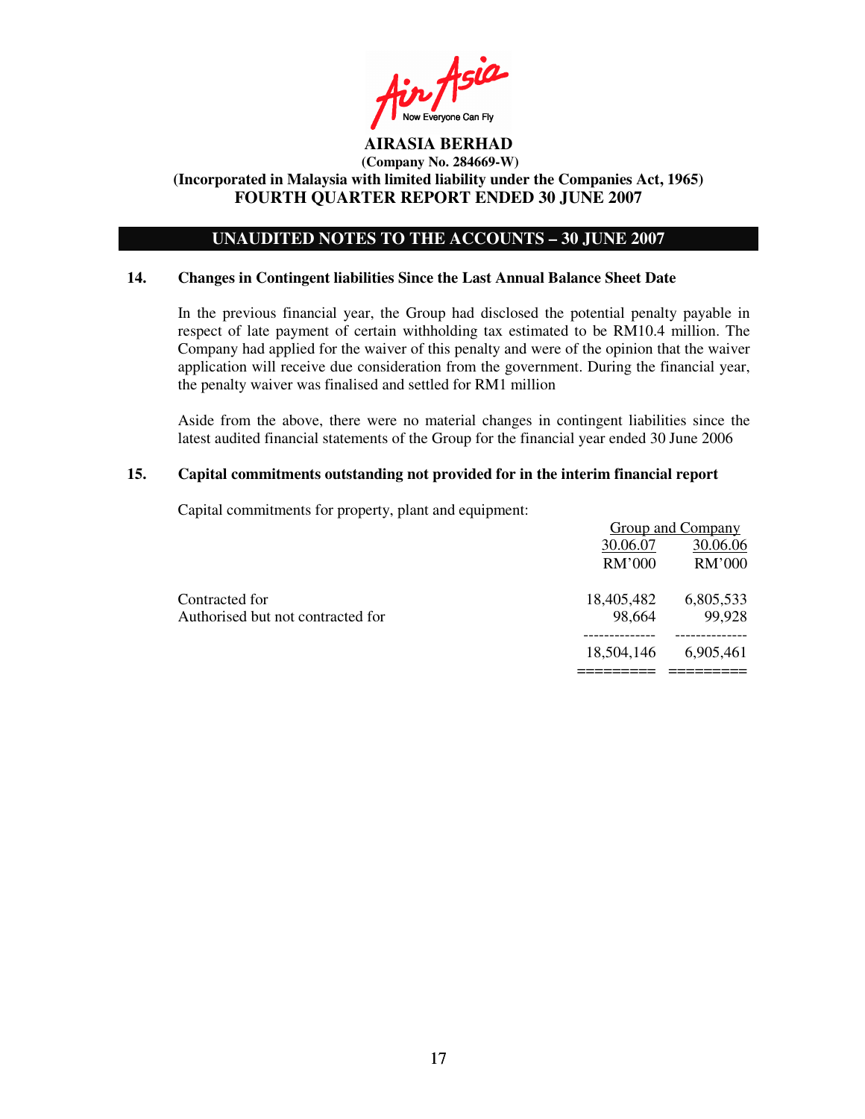in Asia Now Everyone Can Fly

# **UNAUDITED NOTES TO THE ACCOUNTS – 30 JUNE 2007**

### **14. Changes in Contingent liabilities Since the Last Annual Balance Sheet Date**

In the previous financial year, the Group had disclosed the potential penalty payable in respect of late payment of certain withholding tax estimated to be RM10.4 million. The Company had applied for the waiver of this penalty and were of the opinion that the waiver application will receive due consideration from the government. During the financial year, the penalty waiver was finalised and settled for RM1 million

Aside from the above, there were no material changes in contingent liabilities since the latest audited financial statements of the Group for the financial year ended 30 June 2006

### **15. Capital commitments outstanding not provided for in the interim financial report**

Capital commitments for property, plant and equipment:

|                                   |            | Group and Company |
|-----------------------------------|------------|-------------------|
|                                   | 30.06.07   | 30.06.06          |
|                                   | RM'000     | RM'000            |
| Contracted for                    | 18,405,482 | 6,805,533         |
| Authorised but not contracted for | 98,664     | 99,928            |
|                                   |            |                   |
|                                   | 18,504,146 | 6,905,461         |
|                                   |            |                   |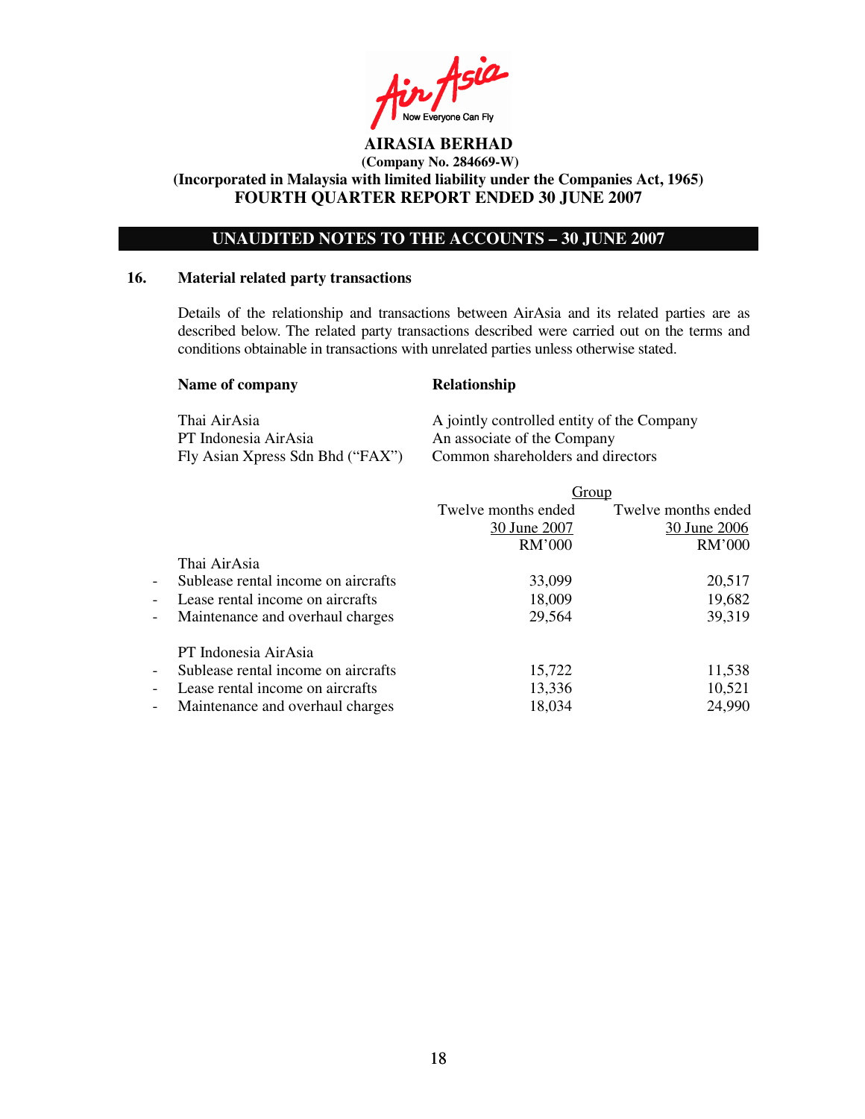n Asia Now Everyone Can Fly

# **UNAUDITED NOTES TO THE ACCOUNTS – 30 JUNE 2007**

### **16. Material related party transactions**

Details of the relationship and transactions between AirAsia and its related parties are as described below. The related party transactions described were carried out on the terms and conditions obtainable in transactions with unrelated parties unless otherwise stated.

| Name of company                  | <b>Relationship</b>                        |
|----------------------------------|--------------------------------------------|
| Thai AirAsia                     | A jointly controlled entity of the Company |
| PT Indonesia AirAsia             | An associate of the Company                |
| Fly Asian Xpress Sdn Bhd ("FAX") | Common shareholders and directors          |

|                          |                                     |                     | Group               |
|--------------------------|-------------------------------------|---------------------|---------------------|
|                          |                                     | Twelve months ended | Twelve months ended |
|                          |                                     | 30 June 2007        | 30 June 2006        |
|                          |                                     | RM'000              | RM'000              |
|                          | Thai AirAsia                        |                     |                     |
| $\overline{\phantom{a}}$ | Sublease rental income on aircrafts | 33,099              | 20,517              |
| $\blacksquare$           | Lease rental income on aircrafts    | 18,009              | 19,682              |
| $\overline{\phantom{a}}$ | Maintenance and overhaul charges    | 29,564              | 39,319              |
|                          | PT Indonesia AirAsia                |                     |                     |
| $\overline{\phantom{a}}$ | Sublease rental income on aircrafts | 15,722              | 11,538              |
| $\overline{\phantom{a}}$ | Lease rental income on aircrafts    | 13,336              | 10,521              |
| $\overline{\phantom{a}}$ | Maintenance and overhaul charges    | 18,034              | 24,990              |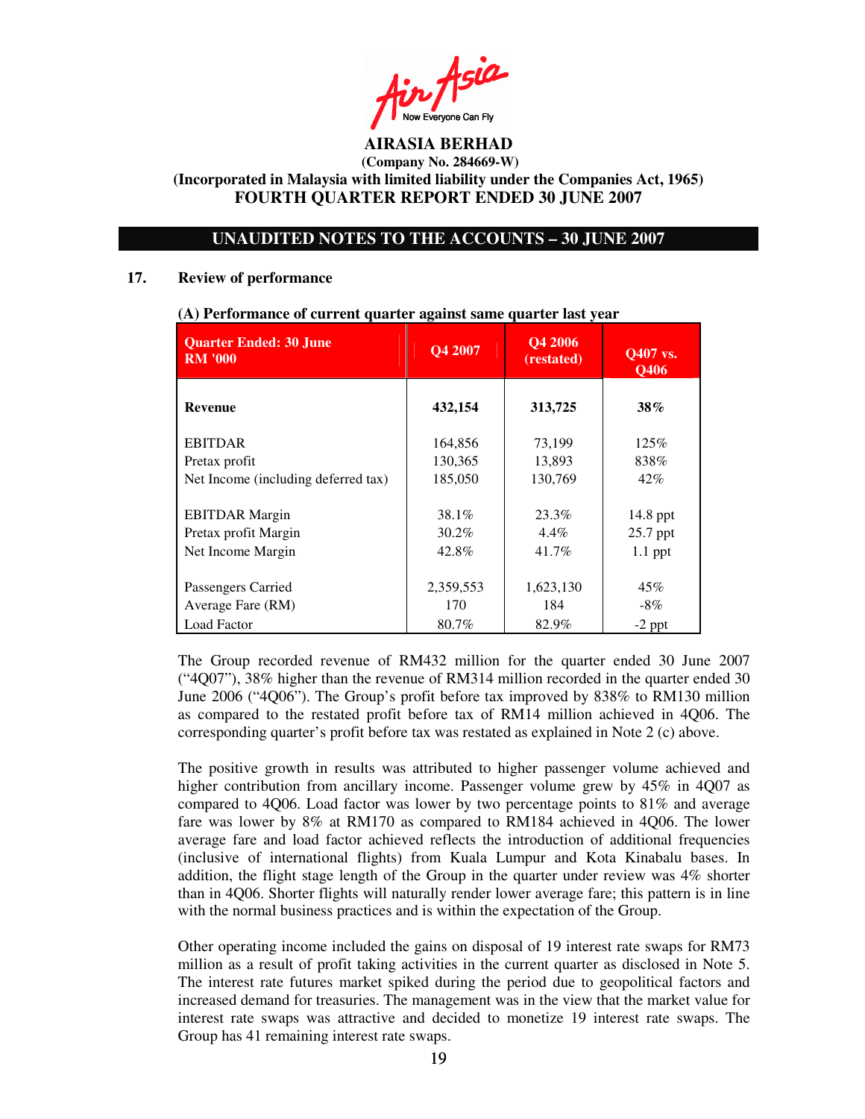in Asia

# **UNAUDITED NOTES TO THE ACCOUNTS – 30 JUNE 2007**

### **17. Review of performance**

| <b>Quarter Ended: 30 June</b><br><b>RM '000</b> | Q4 2007   | Q4 2006<br>(restated) | Q407 vs.<br><b>O406</b> |
|-------------------------------------------------|-----------|-----------------------|-------------------------|
| <b>Revenue</b>                                  | 432,154   | 313,725               | $38\%$                  |
| <b>EBITDAR</b>                                  | 164,856   | 73,199                | 125%                    |
| Pretax profit                                   | 130,365   | 13,893                | 838%                    |
| Net Income (including deferred tax)             | 185,050   | 130,769               | $42\%$                  |
| <b>EBITDAR</b> Margin                           | 38.1%     | 23.3%                 | $14.8$ ppt              |
| Pretax profit Margin                            | 30.2%     | $4.4\%$               | 25.7 ppt                |
| Net Income Margin                               | 42.8%     | 41.7%                 | $1.1$ ppt               |
| Passengers Carried                              | 2,359,553 | 1,623,130             | 45%                     |
| Average Fare (RM)                               | 170       | 184                   | $-8\%$                  |
| <b>Load Factor</b>                              | 80.7%     | 82.9%                 | $-2$ ppt                |

#### **(A) Performance of current quarter against same quarter last year**

The Group recorded revenue of RM432 million for the quarter ended 30 June 2007 ("4Q07"), 38% higher than the revenue of RM314 million recorded in the quarter ended 30 June 2006 ("4Q06"). The Group's profit before tax improved by 838% to RM130 million as compared to the restated profit before tax of RM14 million achieved in 4Q06. The corresponding quarter's profit before tax was restated as explained in Note 2 (c) above.

The positive growth in results was attributed to higher passenger volume achieved and higher contribution from ancillary income. Passenger volume grew by 45% in 4Q07 as compared to 4Q06. Load factor was lower by two percentage points to 81% and average fare was lower by 8% at RM170 as compared to RM184 achieved in 4Q06. The lower average fare and load factor achieved reflects the introduction of additional frequencies (inclusive of international flights) from Kuala Lumpur and Kota Kinabalu bases. In addition, the flight stage length of the Group in the quarter under review was 4% shorter than in 4Q06. Shorter flights will naturally render lower average fare; this pattern is in line with the normal business practices and is within the expectation of the Group.

Other operating income included the gains on disposal of 19 interest rate swaps for RM73 million as a result of profit taking activities in the current quarter as disclosed in Note 5. The interest rate futures market spiked during the period due to geopolitical factors and increased demand for treasuries. The management was in the view that the market value for interest rate swaps was attractive and decided to monetize 19 interest rate swaps. The Group has 41 remaining interest rate swaps.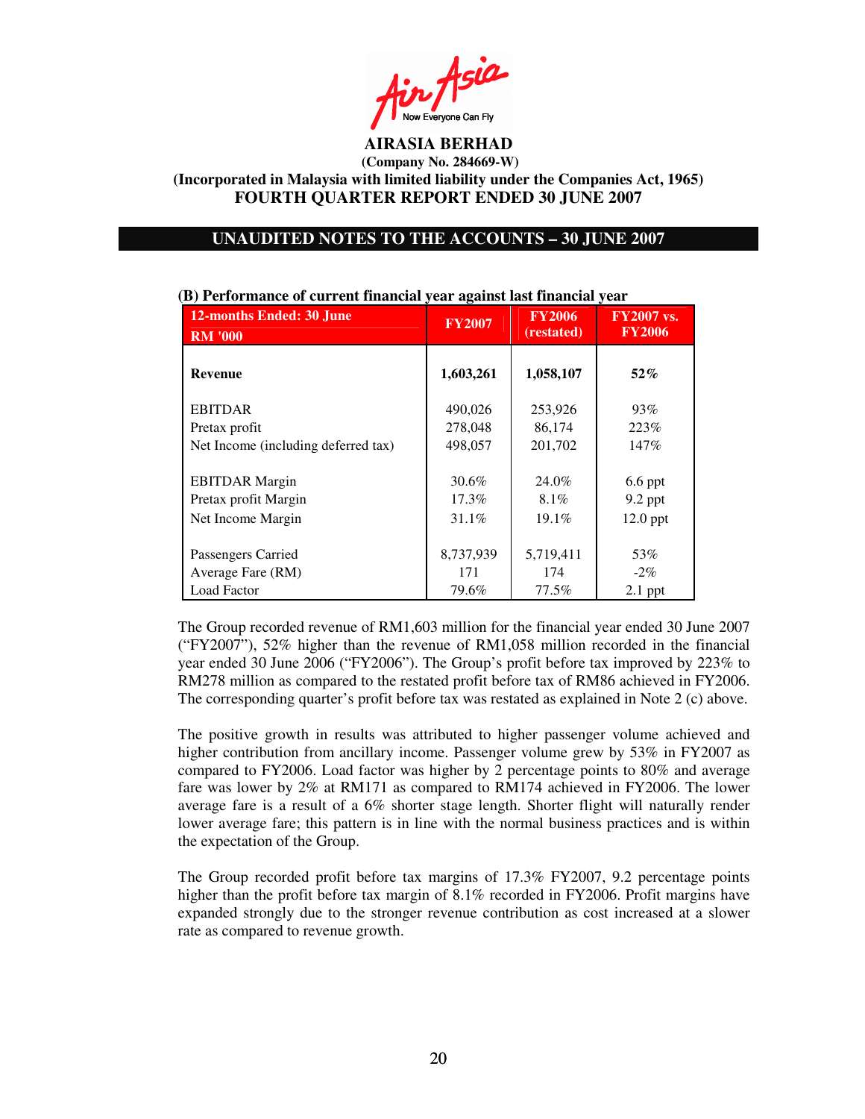$\mathcal{L}_{\mathcal{P}}$ 

### **UNAUDITED NOTES TO THE ACCOUNTS – 30 JUNE 2007**

| <b>12-months Ended: 30 June</b><br><b>RM '000</b> | <b>FY2007</b> | <b>FY2006</b><br>(restated) | <b>FY2007 vs.</b><br><b>FY2006</b> |
|---------------------------------------------------|---------------|-----------------------------|------------------------------------|
| <b>Revenue</b>                                    | 1,603,261     | 1,058,107                   | $52\%$                             |
| <b>EBITDAR</b>                                    | 490,026       | 253,926                     | 93%                                |
| Pretax profit                                     | 278,048       | 86,174                      | 223\%                              |
| Net Income (including deferred tax)               | 498,057       | 201,702                     | 147%                               |
|                                                   |               |                             |                                    |
| <b>EBITDAR</b> Margin                             | 30.6%         | 24.0%                       | $6.6$ ppt                          |
| Pretax profit Margin                              | 17.3%         | 8.1%                        | $9.2$ ppt                          |
| Net Income Margin                                 | 31.1%         | 19.1%                       | $12.0$ ppt                         |
|                                                   |               |                             |                                    |
| Passengers Carried                                | 8,737,939     | 5,719,411                   | 53%                                |
| Average Fare (RM)                                 | 171           | 174                         | $-2\%$                             |
| Load Factor                                       | 79.6%         | 77.5%                       | $2.1$ ppt                          |

### **(B) Performance of current financial year against last financial year**

The Group recorded revenue of RM1,603 million for the financial year ended 30 June 2007 ("FY2007"), 52% higher than the revenue of RM1,058 million recorded in the financial year ended 30 June 2006 ("FY2006"). The Group's profit before tax improved by 223% to RM278 million as compared to the restated profit before tax of RM86 achieved in FY2006. The corresponding quarter's profit before tax was restated as explained in Note 2 (c) above.

The positive growth in results was attributed to higher passenger volume achieved and higher contribution from ancillary income. Passenger volume grew by 53% in FY2007 as compared to FY2006. Load factor was higher by 2 percentage points to 80% and average fare was lower by 2% at RM171 as compared to RM174 achieved in FY2006. The lower average fare is a result of a 6% shorter stage length. Shorter flight will naturally render lower average fare; this pattern is in line with the normal business practices and is within the expectation of the Group.

The Group recorded profit before tax margins of 17.3% FY2007, 9.2 percentage points higher than the profit before tax margin of 8.1% recorded in FY2006. Profit margins have expanded strongly due to the stronger revenue contribution as cost increased at a slower rate as compared to revenue growth.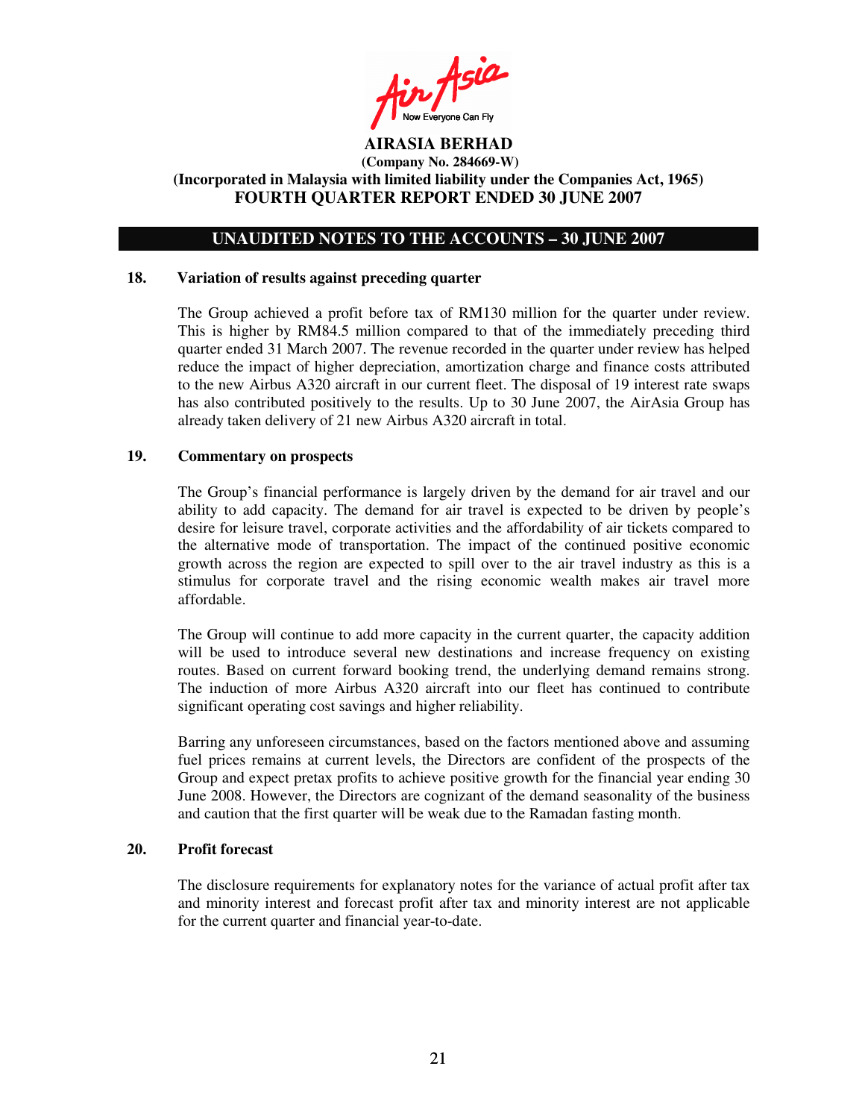Fin Asia

### **UNAUDITED NOTES TO THE ACCOUNTS – 30 JUNE 2007**

#### **18. Variation of results against preceding quarter**

The Group achieved a profit before tax of RM130 million for the quarter under review. This is higher by RM84.5 million compared to that of the immediately preceding third quarter ended 31 March 2007. The revenue recorded in the quarter under review has helped reduce the impact of higher depreciation, amortization charge and finance costs attributed to the new Airbus A320 aircraft in our current fleet. The disposal of 19 interest rate swaps has also contributed positively to the results. Up to 30 June 2007, the AirAsia Group has already taken delivery of 21 new Airbus A320 aircraft in total.

### **19. Commentary on prospects**

The Group's financial performance is largely driven by the demand for air travel and our ability to add capacity. The demand for air travel is expected to be driven by people's desire for leisure travel, corporate activities and the affordability of air tickets compared to the alternative mode of transportation. The impact of the continued positive economic growth across the region are expected to spill over to the air travel industry as this is a stimulus for corporate travel and the rising economic wealth makes air travel more affordable.

The Group will continue to add more capacity in the current quarter, the capacity addition will be used to introduce several new destinations and increase frequency on existing routes. Based on current forward booking trend, the underlying demand remains strong. The induction of more Airbus A320 aircraft into our fleet has continued to contribute significant operating cost savings and higher reliability.

Barring any unforeseen circumstances, based on the factors mentioned above and assuming fuel prices remains at current levels, the Directors are confident of the prospects of the Group and expect pretax profits to achieve positive growth for the financial year ending 30 June 2008. However, the Directors are cognizant of the demand seasonality of the business and caution that the first quarter will be weak due to the Ramadan fasting month.

### **20. Profit forecast**

The disclosure requirements for explanatory notes for the variance of actual profit after tax and minority interest and forecast profit after tax and minority interest are not applicable for the current quarter and financial year-to-date.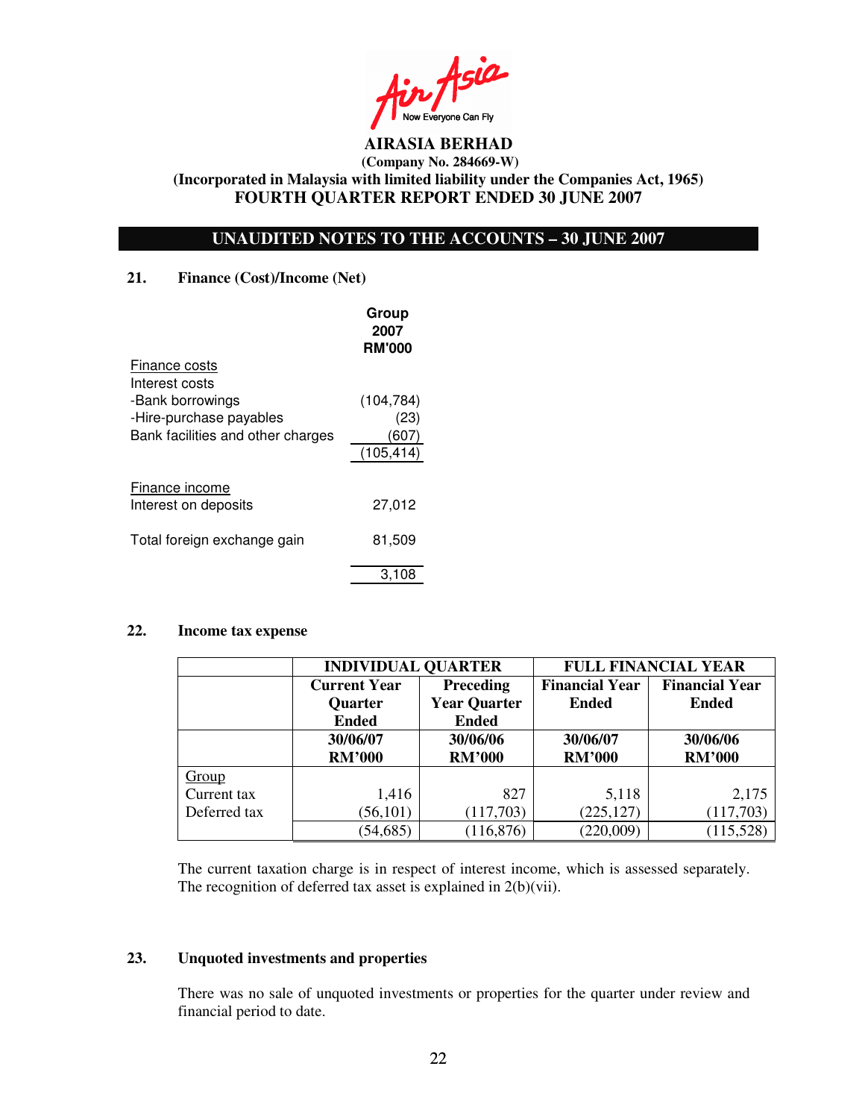n Asia Now Everyone Can Fly

# **UNAUDITED NOTES TO THE ACCOUNTS – 30 JUNE 2007**

### **21. Finance (Cost)/Income (Net)**

|                                   | Group<br>2007<br><b>RM'000</b> |
|-----------------------------------|--------------------------------|
| Finance costs                     |                                |
| Interest costs                    |                                |
| -Bank borrowings                  | (104, 784)                     |
| -Hire-purchase payables           | (23)                           |
| Bank facilities and other charges | 1607                           |
|                                   | (105, 414)                     |
| Finance income                    |                                |
| Interest on deposits              | 27,012                         |
| Total foreign exchange gain       | 81,509                         |
|                                   | 3.108                          |

### **22. Income tax expense**

|              | <b>INDIVIDUAL QUARTER</b> |                     | <b>FULL FINANCIAL YEAR</b> |                       |  |
|--------------|---------------------------|---------------------|----------------------------|-----------------------|--|
|              | <b>Current Year</b>       | Preceding           | <b>Financial Year</b>      | <b>Financial Year</b> |  |
|              | <b>Quarter</b>            | <b>Year Quarter</b> | <b>Ended</b>               | <b>Ended</b>          |  |
|              | <b>Ended</b>              | <b>Ended</b>        |                            |                       |  |
|              | 30/06/07                  | 30/06/06            | 30/06/07                   | 30/06/06              |  |
|              | <b>RM'000</b>             | <b>RM'000</b>       | <b>RM'000</b>              | <b>RM'000</b>         |  |
| Group        |                           |                     |                            |                       |  |
| Current tax  | 1,416                     | 827                 | 5,118                      | 2,175                 |  |
| Deferred tax | (56, 101)                 | (117,703)           | (225, 127)                 | (117,703)             |  |
|              | (54, 685)                 | (116, 876)          | (220,009)                  | (115, 528)            |  |

The current taxation charge is in respect of interest income, which is assessed separately. The recognition of deferred tax asset is explained in 2(b)(vii).

# **23. Unquoted investments and properties**

There was no sale of unquoted investments or properties for the quarter under review and financial period to date.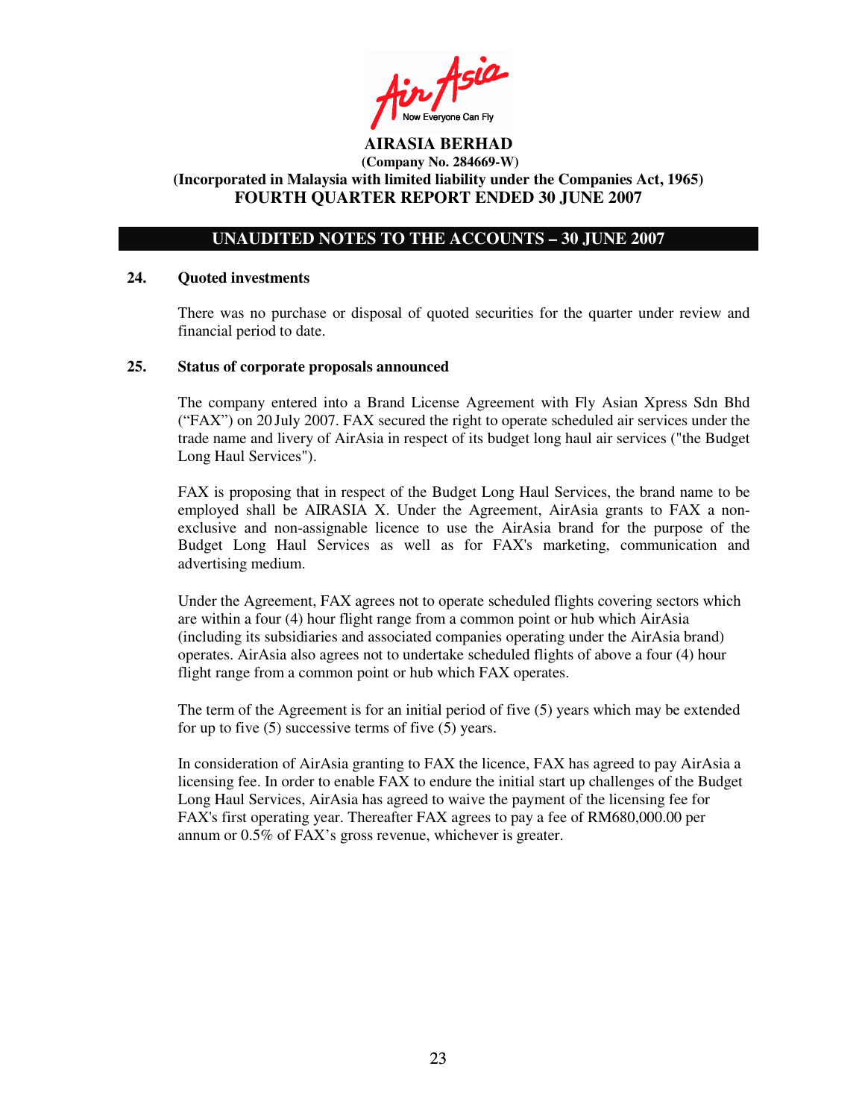Fin Asia

# **UNAUDITED NOTES TO THE ACCOUNTS – 30 JUNE 2007**

#### **24. Quoted investments**

There was no purchase or disposal of quoted securities for the quarter under review and financial period to date.

#### **25. Status of corporate proposals announced**

The company entered into a Brand License Agreement with Fly Asian Xpress Sdn Bhd ("FAX") on 20 July 2007. FAX secured the right to operate scheduled air services under the trade name and livery of AirAsia in respect of its budget long haul air services ("the Budget Long Haul Services").

FAX is proposing that in respect of the Budget Long Haul Services, the brand name to be employed shall be AIRASIA X. Under the Agreement, AirAsia grants to FAX a nonexclusive and non-assignable licence to use the AirAsia brand for the purpose of the Budget Long Haul Services as well as for FAX's marketing, communication and advertising medium.

Under the Agreement, FAX agrees not to operate scheduled flights covering sectors which are within a four (4) hour flight range from a common point or hub which AirAsia (including its subsidiaries and associated companies operating under the AirAsia brand) operates. AirAsia also agrees not to undertake scheduled flights of above a four (4) hour flight range from a common point or hub which FAX operates.

The term of the Agreement is for an initial period of five (5) years which may be extended for up to five (5) successive terms of five (5) years.

In consideration of AirAsia granting to FAX the licence, FAX has agreed to pay AirAsia a licensing fee. In order to enable FAX to endure the initial start up challenges of the Budget Long Haul Services, AirAsia has agreed to waive the payment of the licensing fee for FAX's first operating year. Thereafter FAX agrees to pay a fee of RM680,000.00 per annum or 0.5% of FAX's gross revenue, whichever is greater.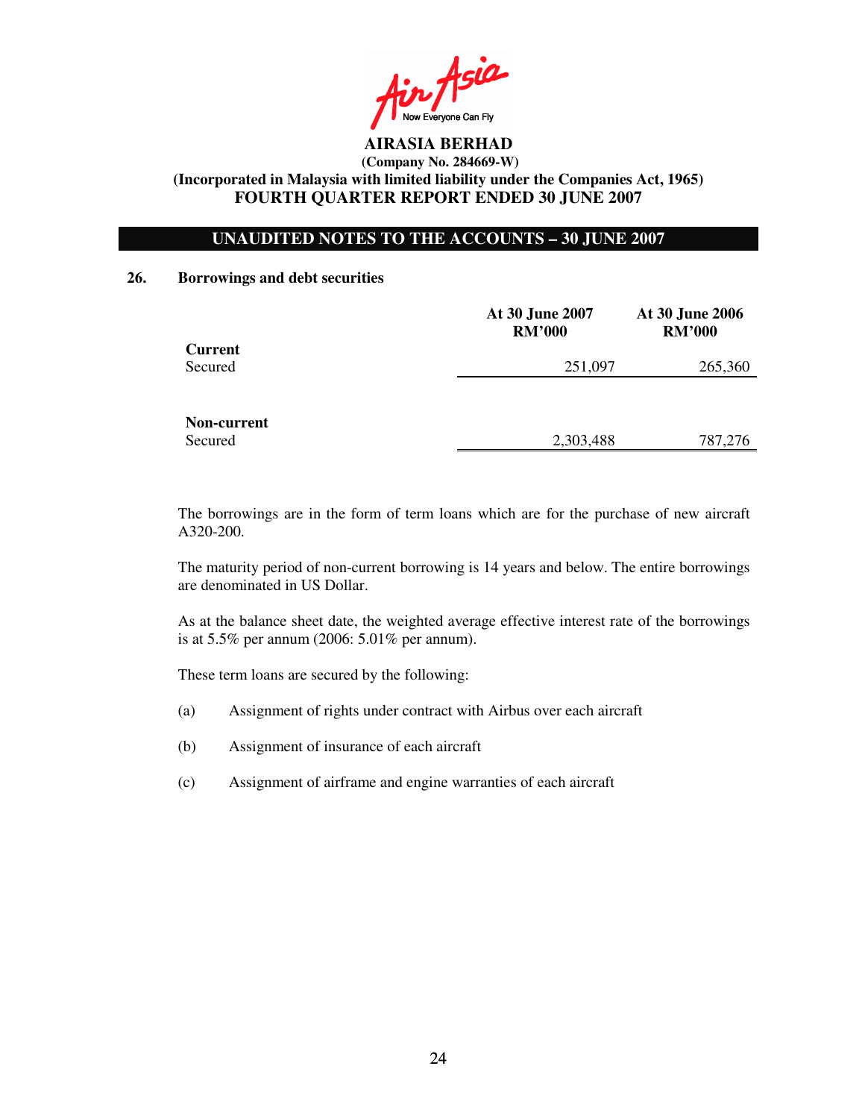in Asia

# **UNAUDITED NOTES TO THE ACCOUNTS – 30 JUNE 2007**

### **26. Borrowings and debt securities**

|                | At 30 June 2007<br><b>RM'000</b> | At 30 June 2006<br><b>RM'000</b> |
|----------------|----------------------------------|----------------------------------|
| <b>Current</b> |                                  |                                  |
| Secured        | 251,097                          | 265,360                          |
|                |                                  |                                  |
| Non-current    |                                  |                                  |
| Secured        | 2,303,488                        | 787,276                          |

The borrowings are in the form of term loans which are for the purchase of new aircraft A320-200.

The maturity period of non-current borrowing is 14 years and below. The entire borrowings are denominated in US Dollar.

As at the balance sheet date, the weighted average effective interest rate of the borrowings is at 5.5% per annum (2006: 5.01% per annum).

These term loans are secured by the following:

- (a) Assignment of rights under contract with Airbus over each aircraft
- (b) Assignment of insurance of each aircraft
- (c) Assignment of airframe and engine warranties of each aircraft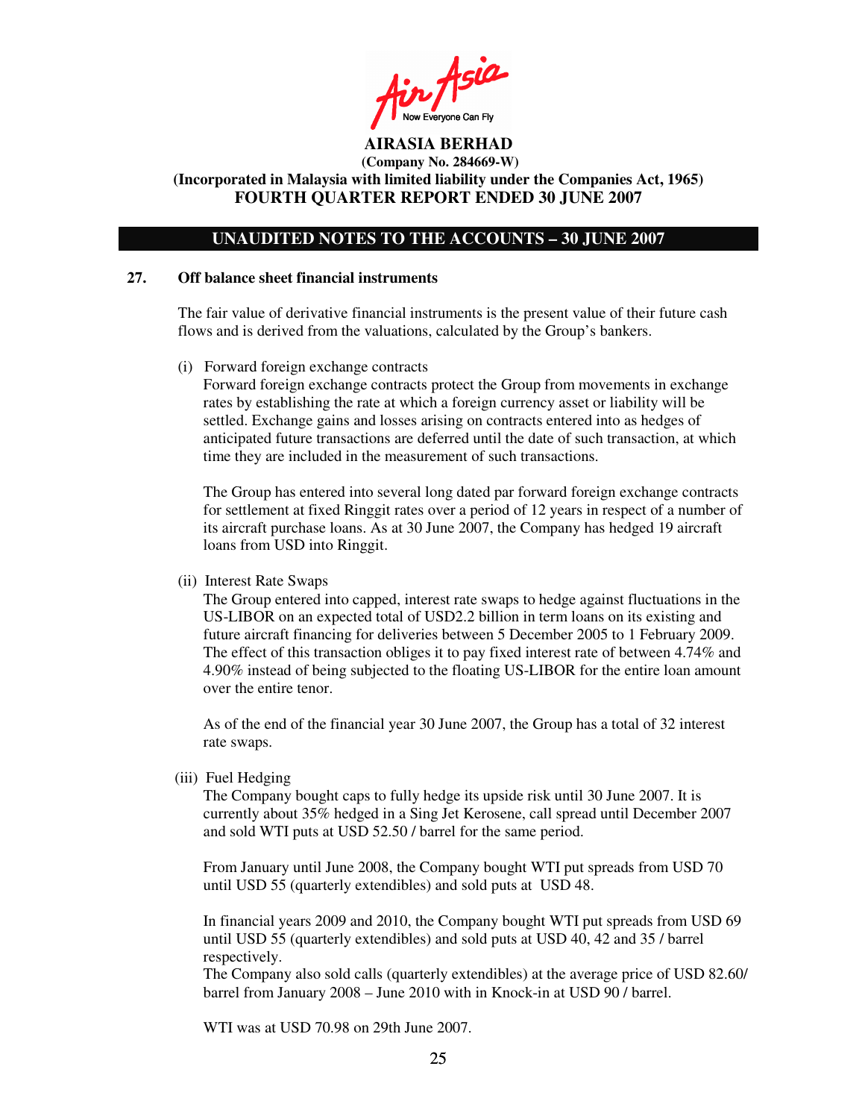Ain Asia

## **UNAUDITED NOTES TO THE ACCOUNTS – 30 JUNE 2007**

#### **27. Off balance sheet financial instruments**

The fair value of derivative financial instruments is the present value of their future cash flows and is derived from the valuations, calculated by the Group's bankers.

(i) Forward foreign exchange contracts

Forward foreign exchange contracts protect the Group from movements in exchange rates by establishing the rate at which a foreign currency asset or liability will be settled. Exchange gains and losses arising on contracts entered into as hedges of anticipated future transactions are deferred until the date of such transaction, at which time they are included in the measurement of such transactions.

The Group has entered into several long dated par forward foreign exchange contracts for settlement at fixed Ringgit rates over a period of 12 years in respect of a number of its aircraft purchase loans. As at 30 June 2007, the Company has hedged 19 aircraft loans from USD into Ringgit.

(ii) Interest Rate Swaps

The Group entered into capped, interest rate swaps to hedge against fluctuations in the US-LIBOR on an expected total of USD2.2 billion in term loans on its existing and future aircraft financing for deliveries between 5 December 2005 to 1 February 2009. The effect of this transaction obliges it to pay fixed interest rate of between 4.74% and 4.90% instead of being subjected to the floating US-LIBOR for the entire loan amount over the entire tenor.

As of the end of the financial year 30 June 2007, the Group has a total of 32 interest rate swaps.

(iii) Fuel Hedging

The Company bought caps to fully hedge its upside risk until 30 June 2007. It is currently about 35% hedged in a Sing Jet Kerosene, call spread until December 2007 and sold WTI puts at USD 52.50 / barrel for the same period.

From January until June 2008, the Company bought WTI put spreads from USD 70 until USD 55 (quarterly extendibles) and sold puts at USD 48.

In financial years 2009 and 2010, the Company bought WTI put spreads from USD 69 until USD 55 (quarterly extendibles) and sold puts at USD 40, 42 and 35 / barrel respectively.

The Company also sold calls (quarterly extendibles) at the average price of USD 82.60/ barrel from January 2008 – June 2010 with in Knock-in at USD 90 / barrel.

WTI was at USD 70.98 on 29th June 2007.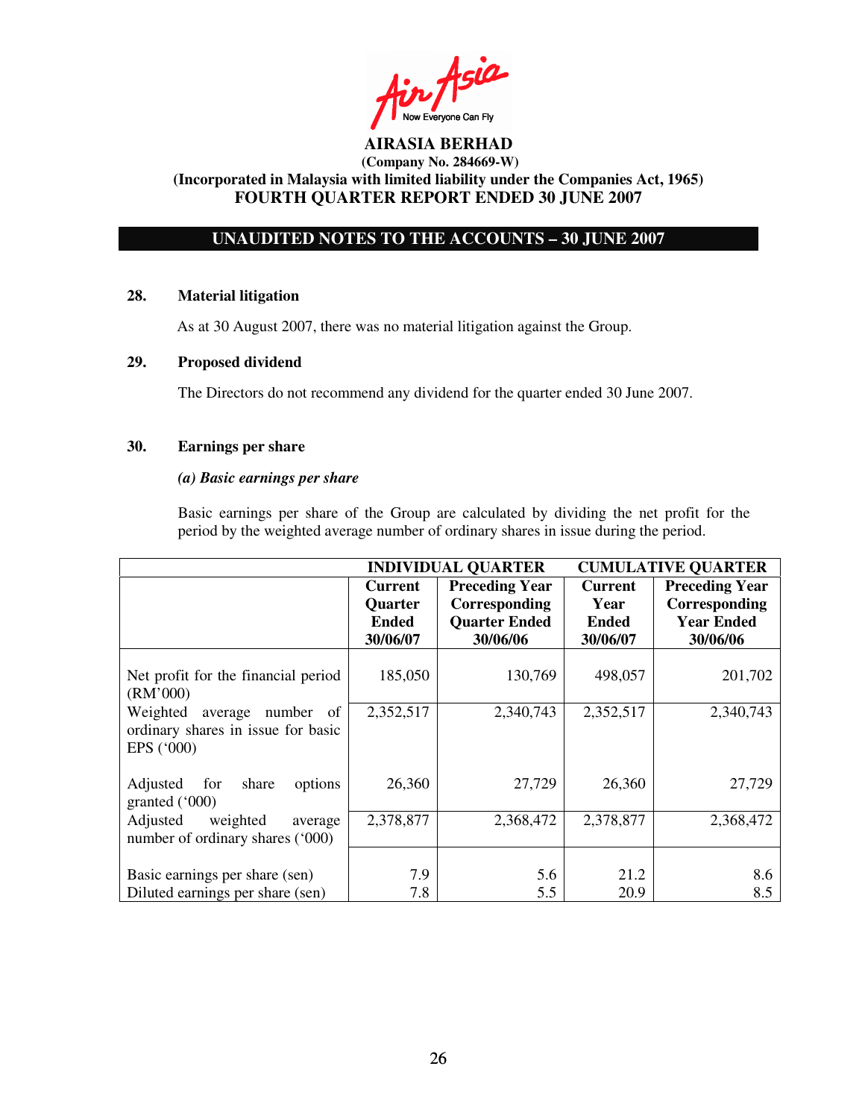$inf$ Now Everyone Can Fly

# **UNAUDITED NOTES TO THE ACCOUNTS – 30 JUNE 2007**

### **28. Material litigation**

As at 30 August 2007, there was no material litigation against the Group.

### **29. Proposed dividend**

The Directors do not recommend any dividend for the quarter ended 30 June 2007.

# **30. Earnings per share**

#### *(a) Basic earnings per share*

Basic earnings per share of the Group are calculated by dividing the net profit for the period by the weighted average number of ordinary shares in issue during the period.

|                                                                                      | <b>INDIVIDUAL QUARTER</b>                             |                                                                            | <b>CUMULATIVE QUARTER</b>                          |                                                                         |
|--------------------------------------------------------------------------------------|-------------------------------------------------------|----------------------------------------------------------------------------|----------------------------------------------------|-------------------------------------------------------------------------|
|                                                                                      | <b>Current</b><br><b>Quarter</b><br>Ended<br>30/06/07 | <b>Preceding Year</b><br>Corresponding<br><b>Quarter Ended</b><br>30/06/06 | <b>Current</b><br>Year<br><b>Ended</b><br>30/06/07 | <b>Preceding Year</b><br>Corresponding<br><b>Year Ended</b><br>30/06/06 |
| Net profit for the financial period<br>(RM'000)                                      | 185,050                                               | 130,769                                                                    | 498,057                                            | 201,702                                                                 |
| Weighted<br>number of<br>average<br>ordinary shares in issue for basic<br>EPS ('000) | 2,352,517                                             | 2,340,743                                                                  | 2,352,517                                          | 2,340,743                                                               |
| Adjusted<br>share<br>options<br>for<br>granted $(000)$                               | 26,360                                                | 27,729                                                                     | 26,360                                             | 27,729                                                                  |
| Adjusted<br>weighted<br>average<br>number of ordinary shares ('000)                  | 2,378,877                                             | 2,368,472                                                                  | 2,378,877                                          | 2,368,472                                                               |
| Basic earnings per share (sen)<br>Diluted earnings per share (sen)                   | 7.9<br>7.8                                            | 5.6<br>5.5                                                                 | 21.2<br>20.9                                       | 8.6<br>8.5                                                              |